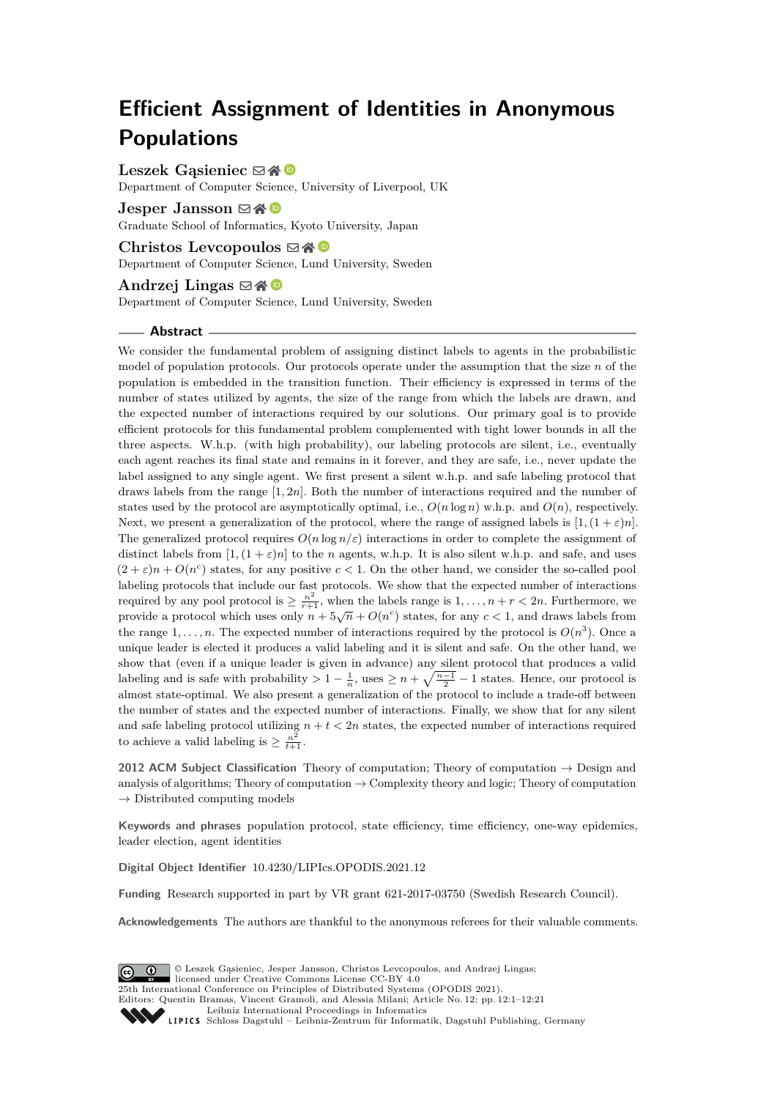# **Efficient Assignment of Identities in Anonymous Populations**

Leszek Gasieniec **⊠ A** 

Department of Computer Science, University of Liverpool, UK

**Jesper Jansson** ⊠谷 <sup>■</sup> Graduate School of Informatics, Kyoto University, Japan

**Christos Levcopoulos** ⊠\* <sup>©</sup> Department of Computer Science, Lund University, Sweden

## **Andrzej Lingas** ⊠ **N**

Department of Computer Science, Lund University, Sweden

#### **Abstract**

We consider the fundamental problem of assigning distinct labels to agents in the probabilistic model of population protocols. Our protocols operate under the assumption that the size *n* of the population is embedded in the transition function. Their efficiency is expressed in terms of the number of states utilized by agents, the size of the range from which the labels are drawn, and the expected number of interactions required by our solutions. Our primary goal is to provide efficient protocols for this fundamental problem complemented with tight lower bounds in all the three aspects. W.h.p. (with high probability), our labeling protocols are silent, i.e., eventually each agent reaches its final state and remains in it forever, and they are safe, i.e., never update the label assigned to any single agent. We first present a silent w.h.p. and safe labeling protocol that draws labels from the range [1*,* 2*n*]*.* Both the number of interactions required and the number of states used by the protocol are asymptotically optimal, i.e.,  $O(n \log n)$  w.h.p. and  $O(n)$ , respectively. Next, we present a generalization of the protocol, where the range of assigned labels is  $[1,(1+\varepsilon)n]$ . The generalized protocol requires  $O(n \log n/\varepsilon)$  interactions in order to complete the assignment of distinct labels from  $[1,(1+\varepsilon)n]$  to the *n* agents, w.h.p. It is also silent w.h.p. and safe, and uses  $(2 + \varepsilon)n + O(n^c)$  states, for any positive  $c < 1$ . On the other hand, we consider the so-called pool labeling protocols that include our fast protocols. We show that the expected number of interactions required by any pool protocol is  $\geq \frac{n^2}{r+1}$ , when the labels range is  $1, \ldots, n+r < 2n$ . Furthermore, we provide a protocol which uses only  $n + 5\sqrt{n} + O(n^c)$  states, for any  $c < 1$ , and draws labels from the range  $1, \ldots, n$ . The expected number of interactions required by the protocol is  $O(n^3)$ . Once a unique leader is elected it produces a valid labeling and it is silent and safe. On the other hand, we show that (even if a unique leader is given in advance) any silent protocol that produces a valid labeling and is safe with probability  $> 1 - \frac{1}{n}$ , uses  $\geq n + \sqrt{\frac{n-1}{2}} - 1$  states. Hence, our protocol is almost state-optimal. We also present a generalization of the protocol to include a trade-off between the number of states and the expected number of interactions. Finally, we show that for any silent and safe labeling protocol utilizing  $n + t < 2n$  states, the expected number of interactions required to achieve a valid labeling is  $\geq \frac{n^2}{t+1}$ .

**2012 ACM Subject Classification** Theory of computation; Theory of computation → Design and analysis of algorithms; Theory of computation  $\rightarrow$  Complexity theory and logic; Theory of computation  $\rightarrow$  Distributed computing models

**Keywords and phrases** population protocol, state efficiency, time efficiency, one-way epidemics, leader election, agent identities

**Digital Object Identifier** [10.4230/LIPIcs.OPODIS.2021.12](https://doi.org/10.4230/LIPIcs.OPODIS.2021.12)

**Funding** Research supported in part by VR grant 621-2017-03750 (Swedish Research Council).

**Acknowledgements** The authors are thankful to the anonymous referees for their valuable comments.

© Leszek Gąsieniec, Jesper Jansson, Christos Levcopoulos, and Andrzej Lingas;  $\boxed{6}$   $\boxed{0}$   $\boxed{)}$ licensed under Creative Commons License CC-BY 4.0 25th International Conference on Principles of Distributed Systems (OPODIS 2021). Editors: Quentin Bramas, Vincent Gramoli, and Alessia Milani; Article No. 12; pp. 12:1–12:21 [Leibniz International Proceedings in Informatics](https://www.dagstuhl.de/lipics/) Leibniz international ruceedings in miorimetric<br>
LIPICS [Schloss Dagstuhl – Leibniz-Zentrum für Informatik, Dagstuhl Publishing, Germany](https://www.dagstuhl.de)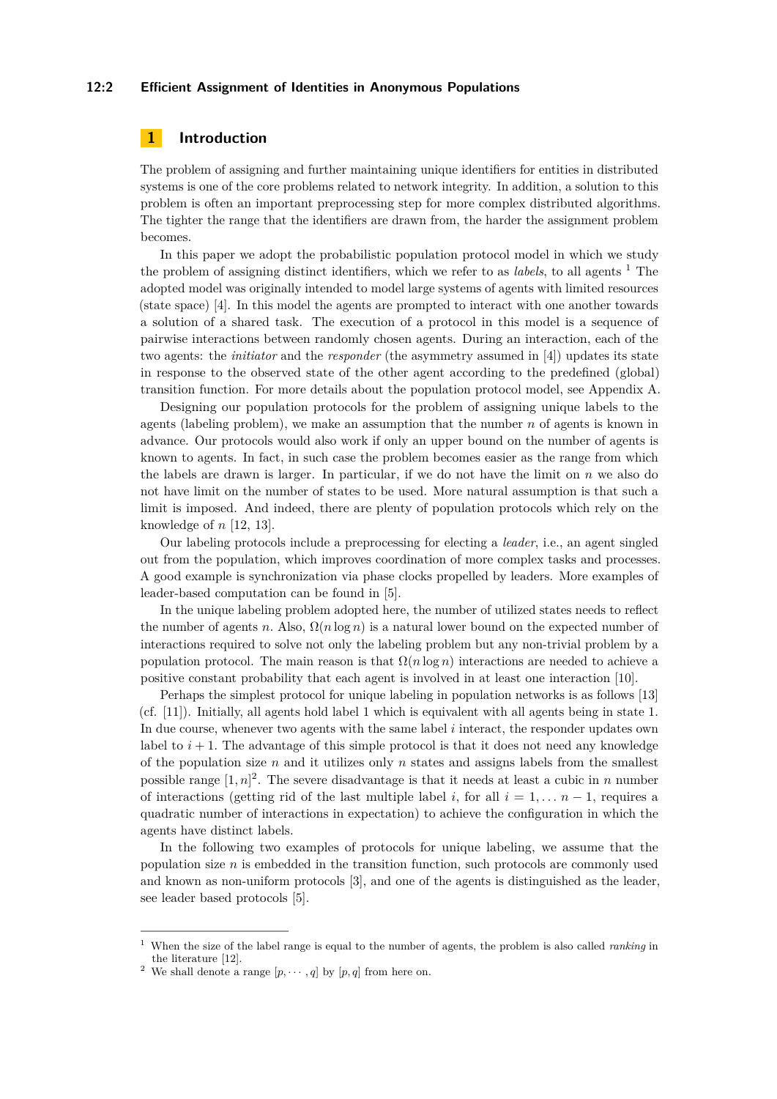#### **12:2 Efficient Assignment of Identities in Anonymous Populations**

# **1 Introduction**

The problem of assigning and further maintaining unique identifiers for entities in distributed systems is one of the core problems related to network integrity. In addition, a solution to this problem is often an important preprocessing step for more complex distributed algorithms. The tighter the range that the identifiers are drawn from, the harder the assignment problem becomes.

In this paper we adopt the probabilistic population protocol model in which we study the problem of assigning distinct identifiers, which we refer to as *labels*, to all agents [1](#page-1-0) The adopted model was originally intended to model large systems of agents with limited resources (state space) [\[4\]](#page-16-0). In this model the agents are prompted to interact with one another towards a solution of a shared task. The execution of a protocol in this model is a sequence of pairwise interactions between randomly chosen agents. During an interaction, each of the two agents: the *initiator* and the *responder* (the asymmetry assumed in [\[4\]](#page-16-0)) updates its state in response to the observed state of the other agent according to the predefined (global) transition function. For more details about the population protocol model, see Appendix A.

Designing our population protocols for the problem of assigning unique labels to the agents (labeling problem), we make an assumption that the number *n* of agents is known in advance. Our protocols would also work if only an upper bound on the number of agents is known to agents. In fact, in such case the problem becomes easier as the range from which the labels are drawn is larger. In particular, if we do not have the limit on *n* we also do not have limit on the number of states to be used. More natural assumption is that such a limit is imposed. And indeed, there are plenty of population protocols which rely on the knowledge of *n* [\[12,](#page-16-1) [13\]](#page-16-2).

Our labeling protocols include a preprocessing for electing a *leader*, i.e., an agent singled out from the population, which improves coordination of more complex tasks and processes. A good example is synchronization via phase clocks propelled by leaders. More examples of leader-based computation can be found in [\[5\]](#page-16-3).

In the unique labeling problem adopted here, the number of utilized states needs to reflect the number of agents *n*. Also,  $\Omega(n \log n)$  is a natural lower bound on the expected number of interactions required to solve not only the labeling problem but any non-trivial problem by a population protocol. The main reason is that  $\Omega(n \log n)$  interactions are needed to achieve a positive constant probability that each agent is involved in at least one interaction [\[10\]](#page-16-4).

Perhaps the simplest protocol for unique labeling in population networks is as follows [\[13\]](#page-16-2) (cf. [\[11\]](#page-16-5)). Initially, all agents hold label 1 which is equivalent with all agents being in state 1*.* In due course, whenever two agents with the same label *i* interact, the responder updates own label to  $i + 1$ . The advantage of this simple protocol is that it does not need any knowledge of the population size  $n$  and it utilizes only  $n$  states and assigns labels from the smallest possible range  $[1, n]^2$  $[1, n]^2$ . The severe disadvantage is that it needs at least a cubic in *n* number of interactions (getting rid of the last multiple label *i*, for all  $i = 1, \ldots, n-1$ , requires a quadratic number of interactions in expectation) to achieve the configuration in which the agents have distinct labels.

In the following two examples of protocols for unique labeling, we assume that the population size  $n$  is embedded in the transition function, such protocols are commonly used and known as non-uniform protocols [\[3\]](#page-16-6), and one of the agents is distinguished as the leader, see leader based protocols [\[5\]](#page-16-3).

<span id="page-1-0"></span><sup>1</sup> When the size of the label range is equal to the number of agents, the problem is also called *ranking* in the literature [\[12\]](#page-16-1).

<span id="page-1-1"></span><sup>&</sup>lt;sup>2</sup> We shall denote a range  $[p, \dots, q]$  by  $[p, q]$  from here on.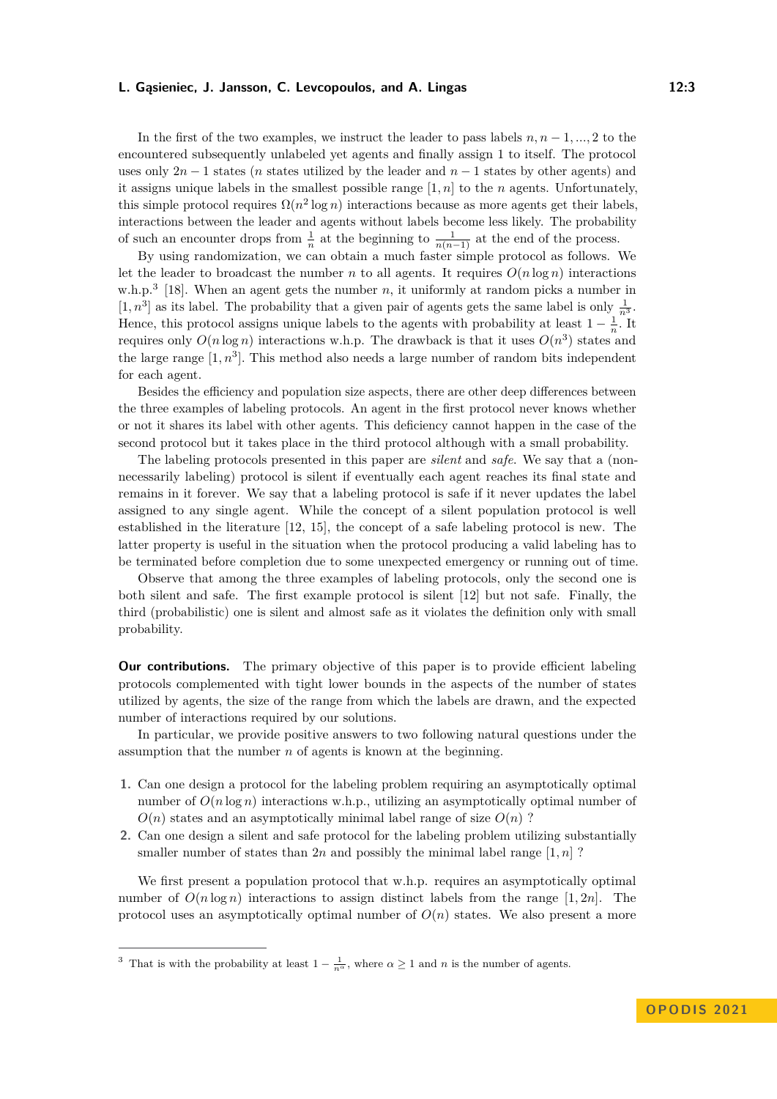In the first of the two examples, we instruct the leader to pass labels  $n, n-1, ..., 2$  to the encountered subsequently unlabeled yet agents and finally assign 1 to itself. The protocol uses only  $2n - 1$  states (*n* states utilized by the leader and  $n - 1$  states by other agents) and it assigns unique labels in the smallest possible range [1*, n*] to the *n* agents. Unfortunately, this simple protocol requires  $\Omega(n^2 \log n)$  interactions because as more agents get their labels, interactions between the leader and agents without labels become less likely. The probability of such an encounter drops from  $\frac{1}{n}$  at the beginning to  $\frac{1}{n(n-1)}$  at the end of the process.

By using randomization, we can obtain a much faster simple protocol as follows. We let the leader to broadcast the number *n* to all agents. It requires  $O(n \log n)$  interactions w.h.p.<sup>[3](#page-2-0)</sup> [\[18\]](#page-16-7). When an agent gets the number  $n$ , it uniformly at random picks a number in  $[1, n^3]$  as its label. The probability that a given pair of agents gets the same label is only  $\frac{1}{n^3}$ . Hence, this protocol assigns unique labels to the agents with probability at least  $1 - \frac{1}{n}$ . It requires only  $O(n \log n)$  interactions w.h.p. The drawback is that it uses  $O(n^3)$  states and the large range  $[1, n^3]$ . This method also needs a large number of random bits independent for each agent.

Besides the efficiency and population size aspects, there are other deep differences between the three examples of labeling protocols. An agent in the first protocol never knows whether or not it shares its label with other agents. This deficiency cannot happen in the case of the second protocol but it takes place in the third protocol although with a small probability.

The labeling protocols presented in this paper are *silent* and *safe*. We say that a (nonnecessarily labeling) protocol is silent if eventually each agent reaches its final state and remains in it forever. We say that a labeling protocol is safe if it never updates the label assigned to any single agent. While the concept of a silent population protocol is well established in the literature [\[12,](#page-16-1) [15\]](#page-16-8), the concept of a safe labeling protocol is new. The latter property is useful in the situation when the protocol producing a valid labeling has to be terminated before completion due to some unexpected emergency or running out of time.

Observe that among the three examples of labeling protocols, only the second one is both silent and safe. The first example protocol is silent [\[12\]](#page-16-1) but not safe. Finally, the third (probabilistic) one is silent and almost safe as it violates the definition only with small probability.

**Our contributions.** The primary objective of this paper is to provide efficient labeling protocols complemented with tight lower bounds in the aspects of the number of states utilized by agents, the size of the range from which the labels are drawn, and the expected number of interactions required by our solutions.

In particular, we provide positive answers to two following natural questions under the assumption that the number *n* of agents is known at the beginning.

- **1.** Can one design a protocol for the labeling problem requiring an asymptotically optimal number of  $O(n \log n)$  interactions w.h.p., utilizing an asymptotically optimal number of  $O(n)$  states and an asymptotically minimal label range of size  $O(n)$  ?
- **2.** Can one design a silent and safe protocol for the labeling problem utilizing substantially smaller number of states than 2*n* and possibly the minimal label range  $[1, n]$ ?

We first present a population protocol that w.h.p. requires an asymptotically optimal number of  $O(n \log n)$  interactions to assign distinct labels from the range [1, 2*n*]. The protocol uses an asymptotically optimal number of  $O(n)$  states. We also present a more

<span id="page-2-0"></span><sup>&</sup>lt;sup>3</sup> That is with the probability at least  $1 - \frac{1}{n^{\alpha}}$ , where  $\alpha \ge 1$  and *n* is the number of agents.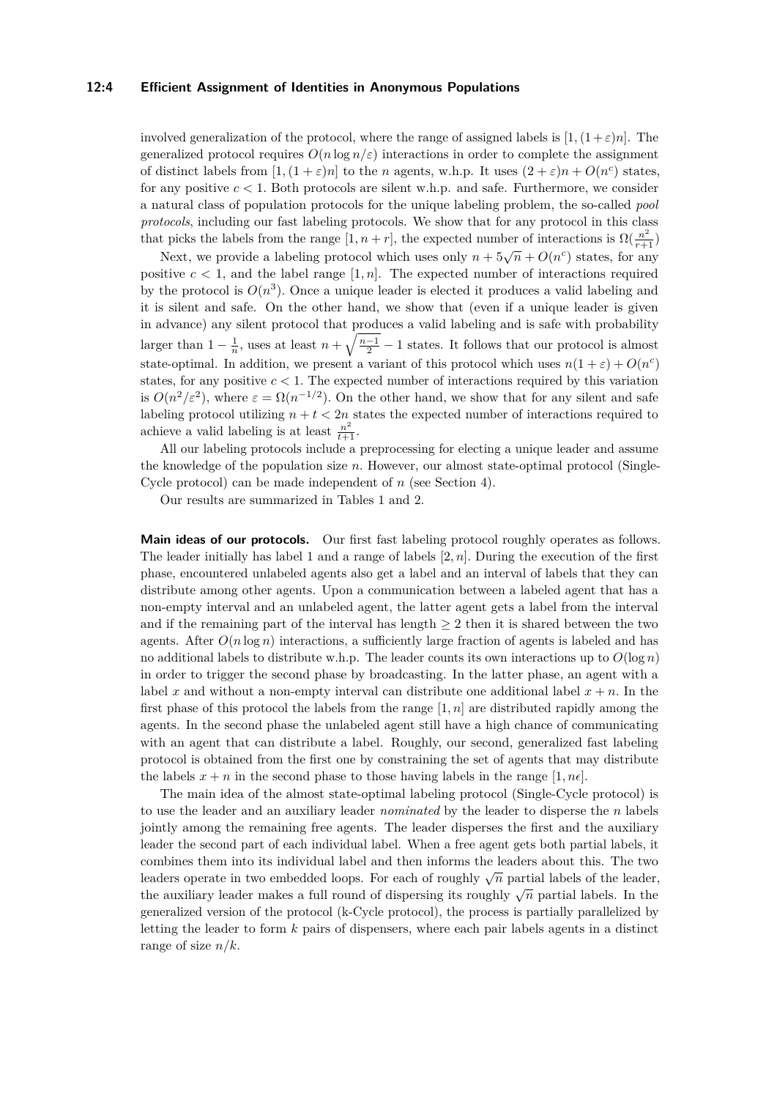#### **12:4 Efficient Assignment of Identities in Anonymous Populations**

involved generalization of the protocol, where the range of assigned labels is  $[1,(1+\varepsilon)n]$ . The generalized protocol requires  $O(n \log n/\varepsilon)$  interactions in order to complete the assignment of distinct labels from  $[1,(1+\varepsilon)n]$  to the *n* agents, w.h.p. It uses  $(2+\varepsilon)n + O(n^c)$  states, for any positive  $c < 1$ . Both protocols are silent w.h.p. and safe. Furthermore, we consider a natural class of population protocols for the unique labeling problem, the so-called *pool protocols*, including our fast labeling protocols. We show that for any protocol in this class that picks the labels from the range  $[1, n+r]$ , the expected number of interactions is  $\Omega(\frac{n^2}{r+1})$ 

Next, we provide a labeling protocol which uses only  $n + 5\sqrt{n} + O(n^c)$  states, for any positive  $c < 1$ , and the label range  $[1, n]$ . The expected number of interactions required by the protocol is  $O(n^3)$ . Once a unique leader is elected it produces a valid labeling and it is silent and safe. On the other hand, we show that (even if a unique leader is given in advance) any silent protocol that produces a valid labeling and is safe with probability larger than  $1 - \frac{1}{n}$ , uses at least  $n + \sqrt{\frac{n-1}{2}} - 1$  states. It follows that our protocol is almost state-optimal. In addition, we present a variant of this protocol which uses  $n(1+\varepsilon) + O(n^c)$ states, for any positive  $c < 1$ . The expected number of interactions required by this variation is  $O(n^2/\varepsilon^2)$ , where  $\varepsilon = \Omega(n^{-1/2})$ . On the other hand, we show that for any silent and safe labeling protocol utilizing  $n + t < 2n$  states the expected number of interactions required to achieve a valid labeling is at least  $\frac{n^2}{t+1}$ .

All our labeling protocols include a preprocessing for electing a unique leader and assume the knowledge of the population size *n.* However, our almost state-optimal protocol (Single-Cycle protocol) can be made independent of *n* (see Section 4).

Our results are summarized in Tables 1 and 2.

**Main ideas of our protocols.** Our first fast labeling protocol roughly operates as follows. The leader initially has label 1 and a range of labels [2*, n*]*.* During the execution of the first phase, encountered unlabeled agents also get a label and an interval of labels that they can distribute among other agents. Upon a communication between a labeled agent that has a non-empty interval and an unlabeled agent, the latter agent gets a label from the interval and if the remaining part of the interval has length  $\geq 2$  then it is shared between the two agents. After  $O(n \log n)$  interactions, a sufficiently large fraction of agents is labeled and has no additional labels to distribute w.h.p. The leader counts its own interactions up to  $O(\log n)$ in order to trigger the second phase by broadcasting. In the latter phase, an agent with a label x and without a non-empty interval can distribute one additional label  $x + n$ . In the first phase of this protocol the labels from the range  $[1, n]$  are distributed rapidly among the agents. In the second phase the unlabeled agent still have a high chance of communicating with an agent that can distribute a label. Roughly, our second, generalized fast labeling protocol is obtained from the first one by constraining the set of agents that may distribute the labels  $x + n$  in the second phase to those having labels in the range [1,  $n\epsilon$ ].

The main idea of the almost state-optimal labeling protocol (Single-Cycle protocol) is to use the leader and an auxiliary leader *nominated* by the leader to disperse the *n* labels jointly among the remaining free agents. The leader disperses the first and the auxiliary leader the second part of each individual label. When a free agent gets both partial labels, it combines them into its individual label and then informs the leaders about this. The two leaders operate in two embedded loops. For each of roughly  $\sqrt{n}$  partial labels of the leader, the auxiliary leader makes a full round of dispersing its roughly  $\sqrt{n}$  partial labels. In the generalized version of the protocol (k-Cycle protocol), the process is partially parallelized by letting the leader to form *k* pairs of dispensers, where each pair labels agents in a distinct range of size *n/k.*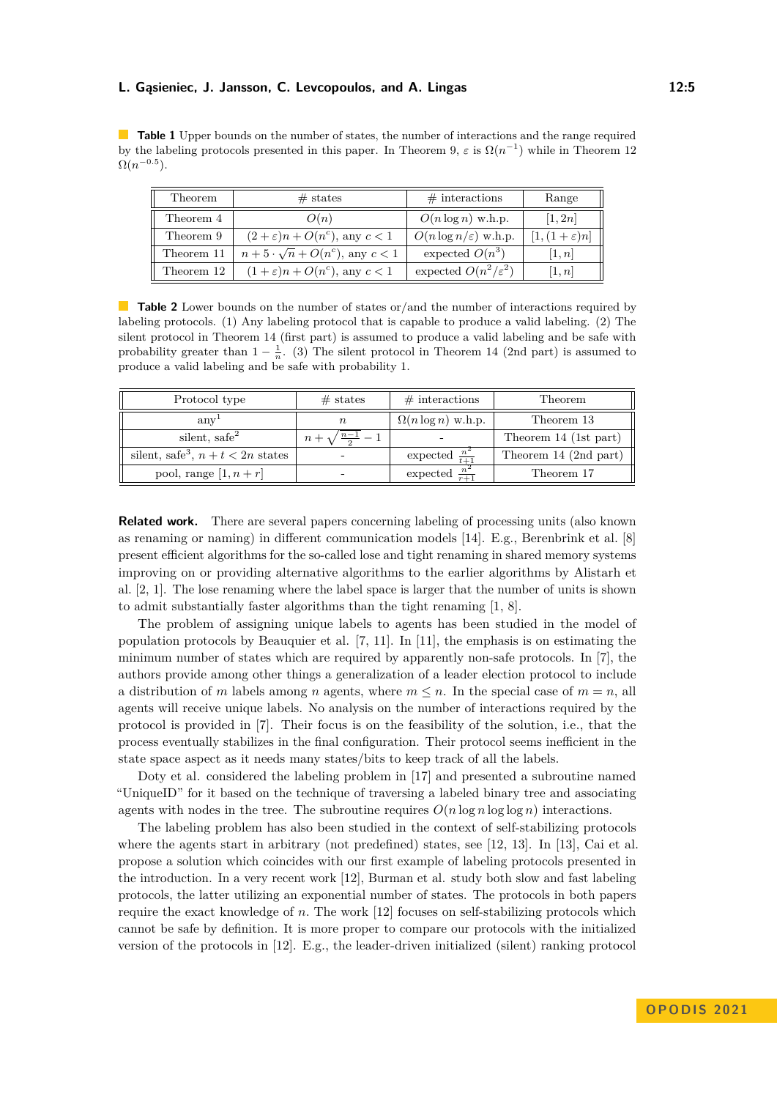**Table 1** Upper bounds on the number of states, the number of interactions and the range required by the labeling protocols presented in this paper. In Theorem [9,](#page-10-0)  $\varepsilon$  is  $\Omega(n^{-1})$  while in Theorem [12](#page-13-0)  $\Omega(n^{-0.5})$ .

| Theorem    | $#$ states                                | $\#$ interactions                | Range                  |  |
|------------|-------------------------------------------|----------------------------------|------------------------|--|
| Theorem 4  | O(n)                                      | $O(n \log n)$ w.h.p.             | [1, 2n]                |  |
| Theorem 9  | $(2+\varepsilon)n + O(n^c)$ , any $c < 1$ | $O(n \log n/\varepsilon)$ w.h.p. | $[1,(1+\varepsilon)n]$ |  |
| Theorem 11 | $n+5\cdot\sqrt{n}+O(n^c)$ , any $c<1$     | expected $O(n^3)$                | [1,n]                  |  |
| Theorem 12 | $(1+\varepsilon)n + O(n^c)$ , any $c < 1$ | expected $O(n^2/\varepsilon^2)$  | [1,n]                  |  |

**Table 2** Lower bounds on the number of states or/and the number of interactions required by labeling protocols. (1) Any labeling protocol that is capable to produce a valid labeling. (2) The silent protocol in Theorem [14](#page-13-1) (first part) is assumed to produce a valid labeling and be safe with probability greater than  $1 - \frac{1}{n}$ . (3) The silent protocol in Theorem [14](#page-13-1) (2nd part) is assumed to produce a valid labeling and be safe with probability 1.

| Protocol type                                   | $#$ states         | $\#$ interactions          | Theorem               |
|-------------------------------------------------|--------------------|----------------------------|-----------------------|
| anv <sup>-</sup>                                | $\boldsymbol{n}$   | $\Omega(n \log n)$ w.h.p.  | Theorem 13            |
| silent, safe <sup>2</sup>                       | $n-1$ $-$<br>$n +$ |                            | Theorem 14 (1st part) |
| silent, safe <sup>3</sup> , $n + t < 2n$ states | ۰                  | expected $\frac{n^2}{t+1}$ | Theorem 14 (2nd part) |
| pool, range $[1, n+r]$                          | -                  | expected                   | Theorem 17            |

**Related work.** There are several papers concerning labeling of processing units (also known as renaming or naming) in different communication models [\[14\]](#page-16-9). E.g., Berenbrink et al. [\[8\]](#page-16-10) present efficient algorithms for the so-called lose and tight renaming in shared memory systems improving on or providing alternative algorithms to the earlier algorithms by Alistarh et al. [\[2,](#page-15-1) [1\]](#page-15-2). The lose renaming where the label space is larger that the number of units is shown to admit substantially faster algorithms than the tight renaming [\[1,](#page-15-2) [8\]](#page-16-10).

The problem of assigning unique labels to agents has been studied in the model of population protocols by Beauquier et al. [\[7,](#page-16-11) [11\]](#page-16-5). In [\[11\]](#page-16-5), the emphasis is on estimating the minimum number of states which are required by apparently non-safe protocols. In [\[7\]](#page-16-11), the authors provide among other things a generalization of a leader election protocol to include a distribution of *m* labels among *n* agents, where  $m \leq n$ . In the special case of  $m = n$ , all agents will receive unique labels. No analysis on the number of interactions required by the protocol is provided in [\[7\]](#page-16-11). Their focus is on the feasibility of the solution, i.e., that the process eventually stabilizes in the final configuration. Their protocol seems inefficient in the state space aspect as it needs many states/bits to keep track of all the labels.

Doty et al. considered the labeling problem in [\[17\]](#page-16-12) and presented a subroutine named "UniqueID" for it based on the technique of traversing a labeled binary tree and associating agents with nodes in the tree. The subroutine requires  $O(n \log n \log \log n)$  interactions.

The labeling problem has also been studied in the context of self-stabilizing protocols where the agents start in arbitrary (not predefined) states, see [\[12,](#page-16-1) [13\]](#page-16-2). In [\[13\]](#page-16-2), Cai et al. propose a solution which coincides with our first example of labeling protocols presented in the introduction. In a very recent work [\[12\]](#page-16-1), Burman et al. study both slow and fast labeling protocols, the latter utilizing an exponential number of states. The protocols in both papers require the exact knowledge of *n.* The work [\[12\]](#page-16-1) focuses on self-stabilizing protocols which cannot be safe by definition. It is more proper to compare our protocols with the initialized version of the protocols in [\[12\]](#page-16-1). E.g., the leader-driven initialized (silent) ranking protocol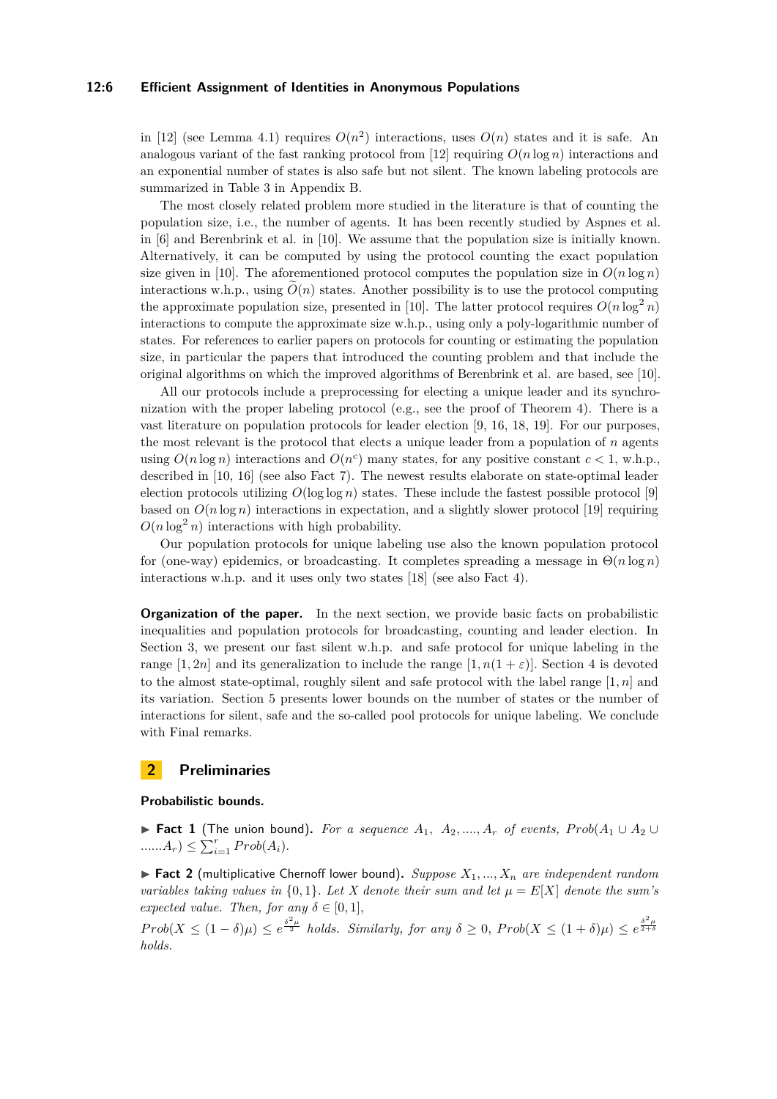#### **12:6 Efficient Assignment of Identities in Anonymous Populations**

in [\[12\]](#page-16-1) (see Lemma 4.1) requires  $O(n^2)$  interactions, uses  $O(n)$  states and it is safe. An analogous variant of the fast ranking protocol from [\[12\]](#page-16-1) requiring  $O(n \log n)$  interactions and an exponential number of states is also safe but not silent. The known labeling protocols are summarized in Table 3 in Appendix B.

The most closely related problem more studied in the literature is that of counting the population size, i.e., the number of agents. It has been recently studied by Aspnes et al. in [\[6\]](#page-16-13) and Berenbrink et al. in [\[10\]](#page-16-4). We assume that the population size is initially known. Alternatively, it can be computed by using the protocol counting the exact population size given in [\[10\]](#page-16-4). The aforementioned protocol computes the population size in  $O(n \log n)$ interactions w.h.p., using  $O(n)$  states. Another possibility is to use the protocol computing the approximate population size, presented in [\[10\]](#page-16-4). The latter protocol requires  $O(n \log^2 n)$ interactions to compute the approximate size w.h.p., using only a poly-logarithmic number of states. For references to earlier papers on protocols for counting or estimating the population size, in particular the papers that introduced the counting problem and that include the original algorithms on which the improved algorithms of Berenbrink et al. are based, see [\[10\]](#page-16-4).

All our protocols include a preprocessing for electing a unique leader and its synchronization with the proper labeling protocol (e.g., see the proof of Theorem [4\)](#page-8-0). There is a vast literature on population protocols for leader election [\[9,](#page-16-14) [16,](#page-16-15) [18,](#page-16-7) [19\]](#page-16-16). For our purposes, the most relevant is the protocol that elects a unique leader from a population of *n* agents using  $O(n \log n)$  interactions and  $O(n^c)$  many states, for any positive constant  $c < 1$ , w.h.p., described in [\[10,](#page-16-4) [16\]](#page-16-15) (see also Fact [7\)](#page-6-0). The newest results elaborate on state-optimal leader election protocols utilizing  $O(\log \log n)$  states. These include the fastest possible protocol [\[9\]](#page-16-14) based on  $O(n \log n)$  interactions in expectation, and a slightly slower protocol [\[19\]](#page-16-16) requiring  $O(n \log^2 n)$  interactions with high probability.

Our population protocols for unique labeling use also the known population protocol for (one-way) epidemics, or broadcasting. It completes spreading a message in Θ(*n* log *n*) interactions w.h.p. and it uses only two states [\[18\]](#page-16-7) (see also Fact [4\)](#page-6-1).

**Organization of the paper.** In the next section, we provide basic facts on probabilistic inequalities and population protocols for broadcasting, counting and leader election. In Section 3, we present our fast silent w.h.p. and safe protocol for unique labeling in the range  $[1, 2n]$  and its generalization to include the range  $[1, n(1 + \varepsilon)]$ . Section 4 is devoted to the almost state-optimal, roughly silent and safe protocol with the label range  $[1, n]$  and its variation. Section 5 presents lower bounds on the number of states or the number of interactions for silent, safe and the so-called pool protocols for unique labeling. We conclude with Final remarks.

## **2 Preliminaries**

#### **Probabilistic bounds.**

<span id="page-5-1"></span>▶ **Fact 1** (The union bound). For a sequence  $A_1$ ,  $A_2$ , ...,  $A_r$  of events,  $Prob(A_1 \cup A_2 \cup A_1)$  $\ldots \ldots A_r$ )  $\leq \sum_{i=1}^r Prob(A_i).$ 

<span id="page-5-0"></span> $\blacktriangleright$  **Fact 2** (multiplicative Chernoff lower bound). *Suppose*  $X_1, ..., X_n$  *are independent random variables taking values in*  $\{0,1\}$ *. Let X denote their sum and let*  $\mu = E[X]$  *denote the sum's expected value. Then, for any*  $\delta \in [0, 1]$ *,* 

 $Prob(X \leq (1 - \delta)\mu) \leq e^{\frac{\delta^2 \mu}{2}}$  *holds. Similarly, for any*  $\delta \geq 0$ ,  $Prob(X \leq (1 + \delta)\mu) \leq e^{\frac{\delta^2 \mu}{2 + \delta^2}}$ *holds.*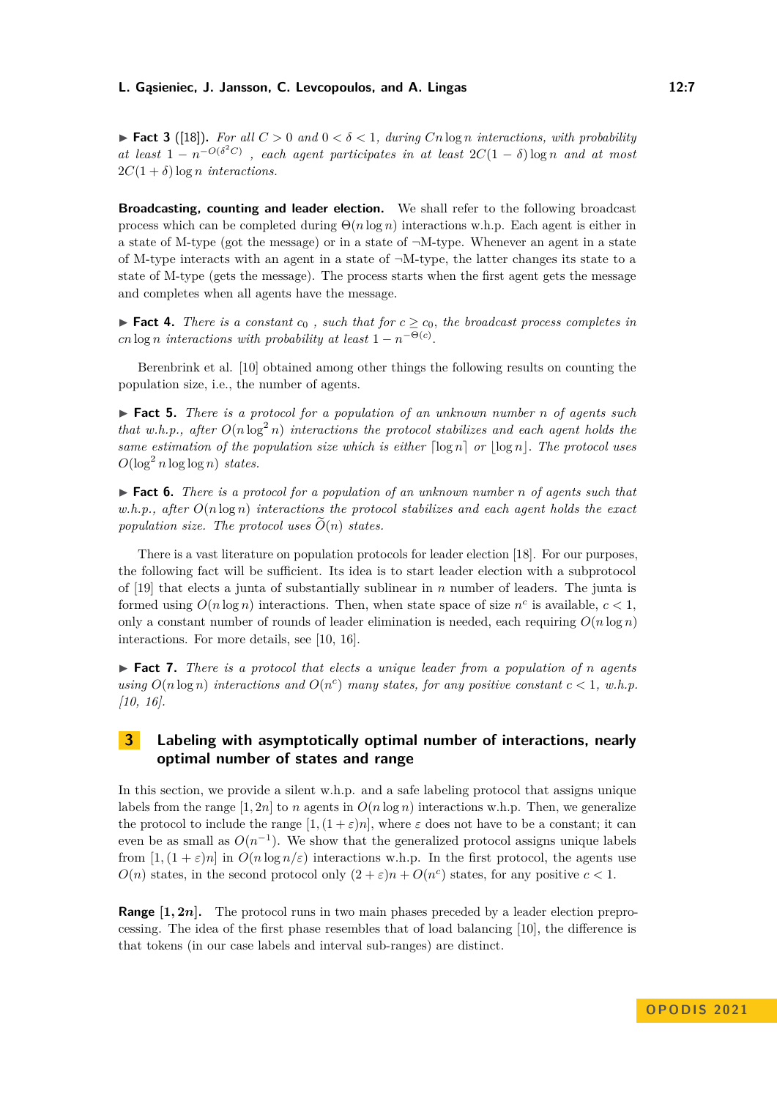<span id="page-6-2"></span>▶ **Fact 3** ([\[18\]](#page-16-7)). For all  $C > 0$  and  $0 < \delta < 1$ , during  $Cn \log n$  interactions, with probability *at least*  $1 - n^{-O(\delta^2 C)}$ , each agent participates in at least  $2C(1 - \delta) \log n$  and at most  $2C(1 + \delta) \log n$  *interactions.* 

**Broadcasting, counting and leader election.** We shall refer to the following broadcast process which can be completed during Θ(*n* log *n*) interactions w.h.p. Each agent is either in a state of M-type (got the message) or in a state of  $\neg M$ -type. Whenever an agent in a state of M-type interacts with an agent in a state of  $\neg M$ -type, the latter changes its state to a state of M-type (gets the message). The process starts when the first agent gets the message and completes when all agents have the message.

<span id="page-6-1"></span>▶ **Fact 4.** *There is a constant*  $c_0$ , *such that for*  $c \geq c_0$ *, the broadcast process completes in cn* log *n interactions* with probability at least  $1 - n^{-\Theta(c)}$ .

Berenbrink et al. [\[10\]](#page-16-4) obtained among other things the following results on counting the population size, i.e., the number of agents.

<span id="page-6-4"></span>▶ **Fact 5.** *There is a protocol for a population of an unknown number n of agents such that w.h.p., after*  $O(n \log^2 n)$  *interactions the protocol stabilizes and each agent holds the same estimation of the population size which is either*  $\lceil \log n \rceil$  *or*  $\lceil \log n \rceil$ *. The protocol uses*  $O(\log^2 n \log \log n)$  *states.* 

<span id="page-6-3"></span>▶ **Fact 6.** *There is a protocol for a population of an unknown number n of agents such that w.h.p., after O*(*n* log *n*) *interactions the protocol stabilizes and each agent holds the exact population size. The protocol uses*  $\tilde{O}(n)$  *states.* 

There is a vast literature on population protocols for leader election [\[18\]](#page-16-7). For our purposes, the following fact will be sufficient. Its idea is to start leader election with a subprotocol of [\[19\]](#page-16-16) that elects a junta of substantially sublinear in *n* number of leaders. The junta is formed using  $O(n \log n)$  interactions. Then, when state space of size  $n^c$  is available,  $c < 1$ , only a constant number of rounds of leader elimination is needed, each requiring  $O(n \log n)$ interactions. For more details, see [\[10,](#page-16-4) [16\]](#page-16-15).

<span id="page-6-0"></span>▶ **Fact 7.** *There is a protocol that elects a unique leader from a population of n agents using*  $O(n \log n)$  *interactions and*  $O(n^c)$  *many states, for any positive constant*  $c < 1$ *, w.h.p. [\[10,](#page-16-4) [16\]](#page-16-15).*

# **3 Labeling with asymptotically optimal number of interactions, nearly optimal number of states and range**

In this section, we provide a silent w.h.p. and a safe labeling protocol that assigns unique labels from the range  $[1, 2n]$  to *n* agents in  $O(n \log n)$  interactions w.h.p. Then, we generalize the protocol to include the range  $[1,(1+\varepsilon)n]$ , where  $\varepsilon$  does not have to be a constant; it can even be as small as  $O(n^{-1})$ . We show that the generalized protocol assigns unique labels from  $[1,(1+\varepsilon)n]$  in  $O(n \log n/\varepsilon)$  interactions w.h.p. In the first protocol, the agents use  $O(n)$  states, in the second protocol only  $(2 + \varepsilon)n + O(n^c)$  states, for any positive  $c < 1$ .

**Range [1***,* **2***n***].** The protocol runs in two main phases preceded by a leader election preprocessing. The idea of the first phase resembles that of load balancing [\[10\]](#page-16-4), the difference is that tokens (in our case labels and interval sub-ranges) are distinct.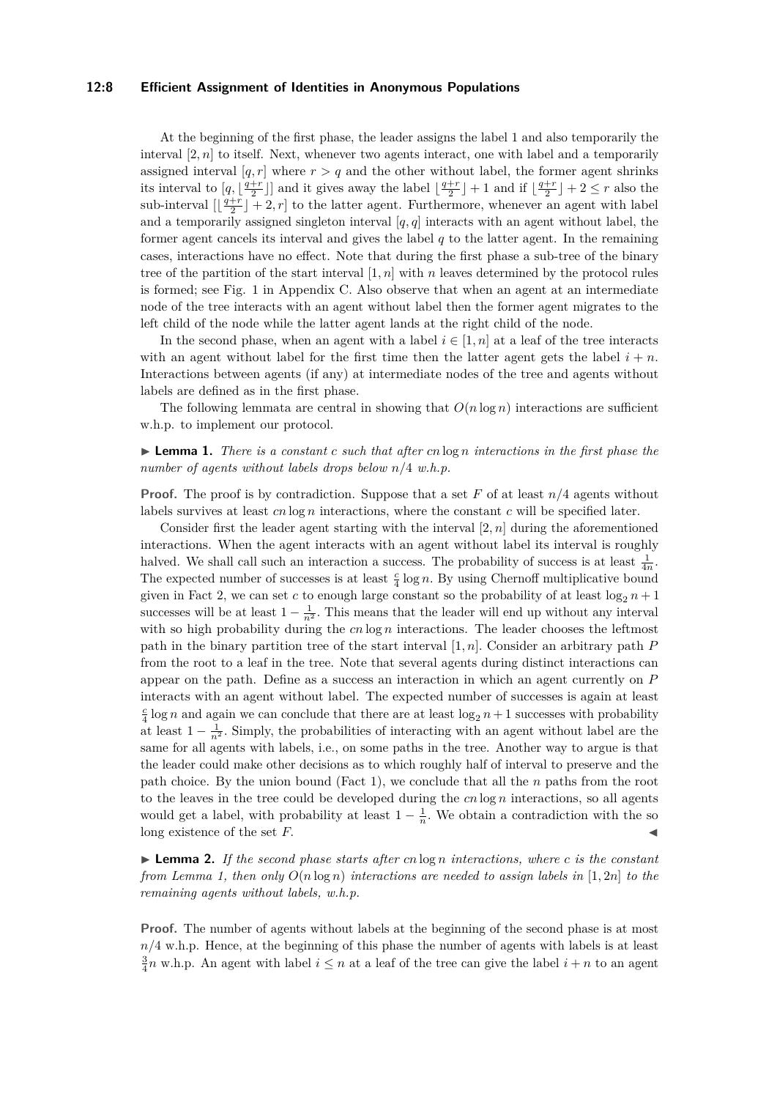#### **12:8 Efficient Assignment of Identities in Anonymous Populations**

At the beginning of the first phase, the leader assigns the label 1 and also temporarily the interval  $[2, n]$  to itself. Next, whenever two agents interact, one with label and a temporarily assigned interval  $[q, r]$  where  $r > q$  and the other without label, the former agent shrinks its interval to  $[q, \lfloor \frac{q+r}{2} \rfloor]$  and it gives away the label  $\lfloor \frac{q+r}{2} \rfloor + 1$  and if  $\lfloor \frac{q+r}{2} \rfloor + 2 \leq r$  also the sub-interval  $\left[\frac{q+r}{2}\right]+2,r$  to the latter agent. Furthermore, whenever an agent with label and a temporarily assigned singleton interval [*q, q*] interacts with an agent without label, the former agent cancels its interval and gives the label  $q$  to the latter agent. In the remaining cases, interactions have no effect. Note that during the first phase a sub-tree of the binary tree of the partition of the start interval [1*, n*] with *n* leaves determined by the protocol rules is formed; see Fig. [1](#page-17-0) in Appendix C. Also observe that when an agent at an intermediate node of the tree interacts with an agent without label then the former agent migrates to the left child of the node while the latter agent lands at the right child of the node.

In the second phase, when an agent with a label  $i \in [1, n]$  at a leaf of the tree interacts with an agent without label for the first time then the latter agent gets the label  $i + n$ . Interactions between agents (if any) at intermediate nodes of the tree and agents without labels are defined as in the first phase.

The following lemmata are central in showing that  $O(n \log n)$  interactions are sufficient w.h.p. to implement our protocol.

<span id="page-7-0"></span>▶ **Lemma 1.** *There is a constant c such that after cn* log *n interactions in the first phase the number of agents without labels drops below n/*4 *w.h.p.*

**Proof.** The proof is by contradiction. Suppose that a set *F* of at least *n/*4 agents without labels survives at least *cn* log *n* interactions, where the constant *c* will be specified later.

Consider first the leader agent starting with the interval  $[2, n]$  during the aforementioned interactions. When the agent interacts with an agent without label its interval is roughly halved. We shall call such an interaction a success. The probability of success is at least  $\frac{1}{4n}$ . The expected number of successes is at least  $\frac{c}{4} \log n$ . By using Chernoff multiplicative bound given in Fact [2,](#page-5-0) we can set c to enough large constant so the probability of at least  $\log_2 n + 1$ successes will be at least  $1 - \frac{1}{n^2}$ . This means that the leader will end up without any interval with so high probability during the cn log *n* interactions. The leader chooses the leftmost path in the binary partition tree of the start interval [1*, n*]*.* Consider an arbitrary path *P* from the root to a leaf in the tree. Note that several agents during distinct interactions can appear on the path. Define as a success an interaction in which an agent currently on *P* interacts with an agent without label. The expected number of successes is again at least  $\frac{c}{4}$  log *n* and again we can conclude that there are at least log<sub>2</sub> *n* + 1 successes with probability at least  $1 - \frac{1}{n^2}$ . Simply, the probabilities of interacting with an agent without label are the same for all agents with labels, i.e., on some paths in the tree. Another way to argue is that the leader could make other decisions as to which roughly half of interval to preserve and the path choice. By the union bound (Fact [1\)](#page-5-1), we conclude that all the *n* paths from the root to the leaves in the tree could be developed during the *cn* log *n* interactions, so all agents would get a label, with probability at least  $1 - \frac{1}{n}$ . We obtain a contradiction with the so long existence of the set  $F$ .

<span id="page-7-1"></span>▶ **Lemma 2.** *If the second phase starts after cn* log *n interactions, where c is the constant from Lemma [1,](#page-7-0) then only*  $O(n \log n)$  *interactions are needed to assign labels in* [1, 2*n*] *to the remaining agents without labels, w.h.p.*

**Proof.** The number of agents without labels at the beginning of the second phase is at most  $n/4$  w.h.p. Hence, at the beginning of this phase the number of agents with labels is at least  $\frac{3}{4}n$  w.h.p. An agent with label  $i \leq n$  at a leaf of the tree can give the label  $i + n$  to an agent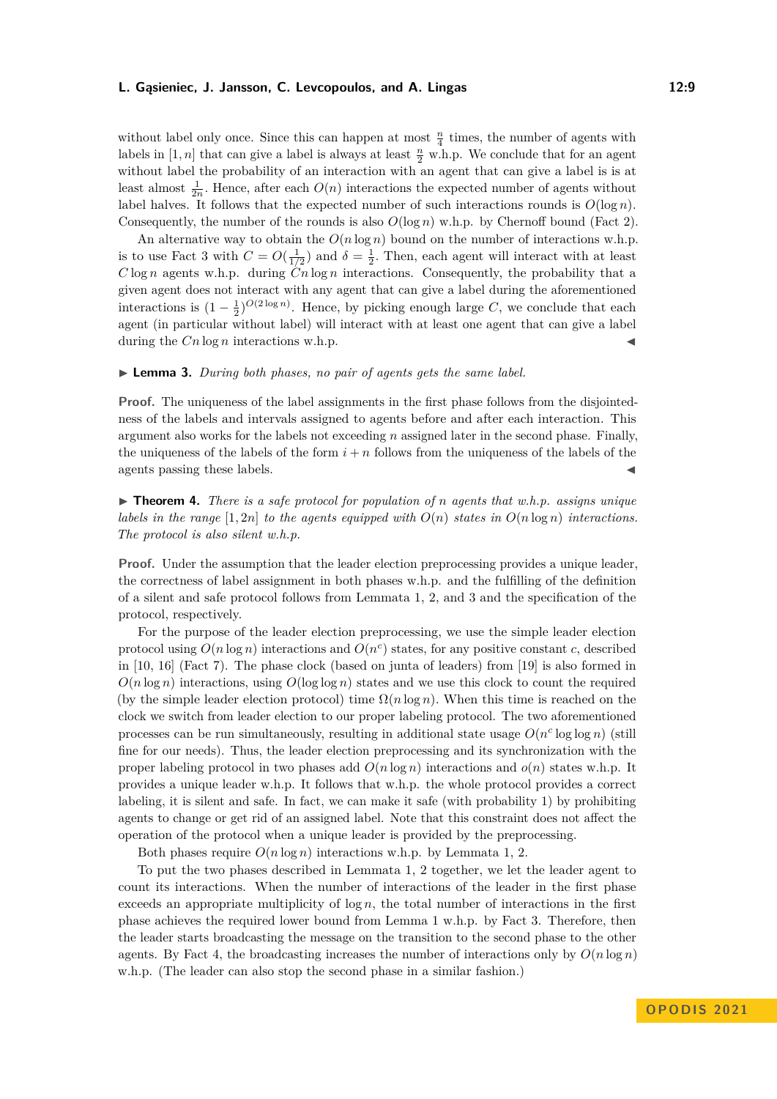without label only once. Since this can happen at most  $\frac{n}{4}$  times, the number of agents with labels in  $[1, n]$  that can give a label is always at least  $\frac{n}{2}$  w.h.p. We conclude that for an agent without label the probability of an interaction with an agent that can give a label is is at least almost  $\frac{1}{2n}$ . Hence, after each  $O(n)$  interactions the expected number of agents without label halves. It follows that the expected number of such interactions rounds is  $O(\log n)$ . Consequently, the number of the rounds is also  $O(\log n)$  w.h.p. by Chernoff bound (Fact [2\)](#page-5-0).

An alternative way to obtain the  $O(n \log n)$  bound on the number of interactions w.h.p. is to use Fact [3](#page-6-2) with  $C = O(\frac{1}{1/2})$  and  $\delta = \frac{1}{2}$ . Then, each agent will interact with at least *C* log *n* agents w.h.p. during *Cn* log *n* interactions. Consequently, the probability that a given agent does not interact with any agent that can give a label during the aforementioned interactions is  $(1 - \frac{1}{2})^{O(2 \log n)}$ . Hence, by picking enough large *C*, we conclude that each agent (in particular without label) will interact with at least one agent that can give a label during the  $Cn \log n$  interactions w.h.p.

#### <span id="page-8-1"></span>▶ **Lemma 3.** *During both phases, no pair of agents gets the same label.*

**Proof.** The uniqueness of the label assignments in the first phase follows from the disjointedness of the labels and intervals assigned to agents before and after each interaction. This argument also works for the labels not exceeding *n* assigned later in the second phase. Finally, the uniqueness of the labels of the form  $i + n$  follows from the uniqueness of the labels of the agents passing these labels.

<span id="page-8-0"></span>▶ **Theorem 4.** *There is a safe protocol for population of n agents that w.h.p. assigns unique labels in the range*  $[1, 2n]$  *to the agents equipped with*  $O(n)$  *states in*  $O(n \log n)$  *interactions. The protocol is also silent w.h.p.*

**Proof.** Under the assumption that the leader election preprocessing provides a unique leader, the correctness of label assignment in both phases w.h.p. and the fulfilling of the definition of a silent and safe protocol follows from Lemmata [1,](#page-7-0) [2,](#page-7-1) and [3](#page-8-1) and the specification of the protocol, respectively.

For the purpose of the leader election preprocessing, we use the simple leader election protocol using  $O(n \log n)$  interactions and  $O(n^c)$  states, for any positive constant *c*, described in [\[10,](#page-16-4) [16\]](#page-16-15) (Fact [7\)](#page-6-0). The phase clock (based on junta of leaders) from [\[19\]](#page-16-16) is also formed in  $O(n \log n)$  interactions, using  $O(\log \log n)$  states and we use this clock to count the required (by the simple leader election protocol) time  $\Omega(n \log n)$ . When this time is reached on the clock we switch from leader election to our proper labeling protocol. The two aforementioned processes can be run simultaneously, resulting in additional state usage  $O(n^c \log \log n)$  (still fine for our needs). Thus, the leader election preprocessing and its synchronization with the proper labeling protocol in two phases add  $O(n \log n)$  interactions and  $o(n)$  states w.h.p. It provides a unique leader w.h.p. It follows that w.h.p. the whole protocol provides a correct labeling, it is silent and safe. In fact, we can make it safe (with probability 1) by prohibiting agents to change or get rid of an assigned label. Note that this constraint does not affect the operation of the protocol when a unique leader is provided by the preprocessing.

Both phases require  $O(n \log n)$  interactions w.h.p. by Lemmata [1,](#page-7-0) [2.](#page-7-1)

To put the two phases described in Lemmata [1,](#page-7-0) [2](#page-7-1) together, we let the leader agent to count its interactions. When the number of interactions of the leader in the first phase exceeds an appropriate multiplicity of log *n*, the total number of interactions in the first phase achieves the required lower bound from Lemma [1](#page-7-0) w.h.p. by Fact [3.](#page-6-2) Therefore, then the leader starts broadcasting the message on the transition to the second phase to the other agents. By Fact [4,](#page-6-1) the broadcasting increases the number of interactions only by  $O(n \log n)$ w.h.p. (The leader can also stop the second phase in a similar fashion.)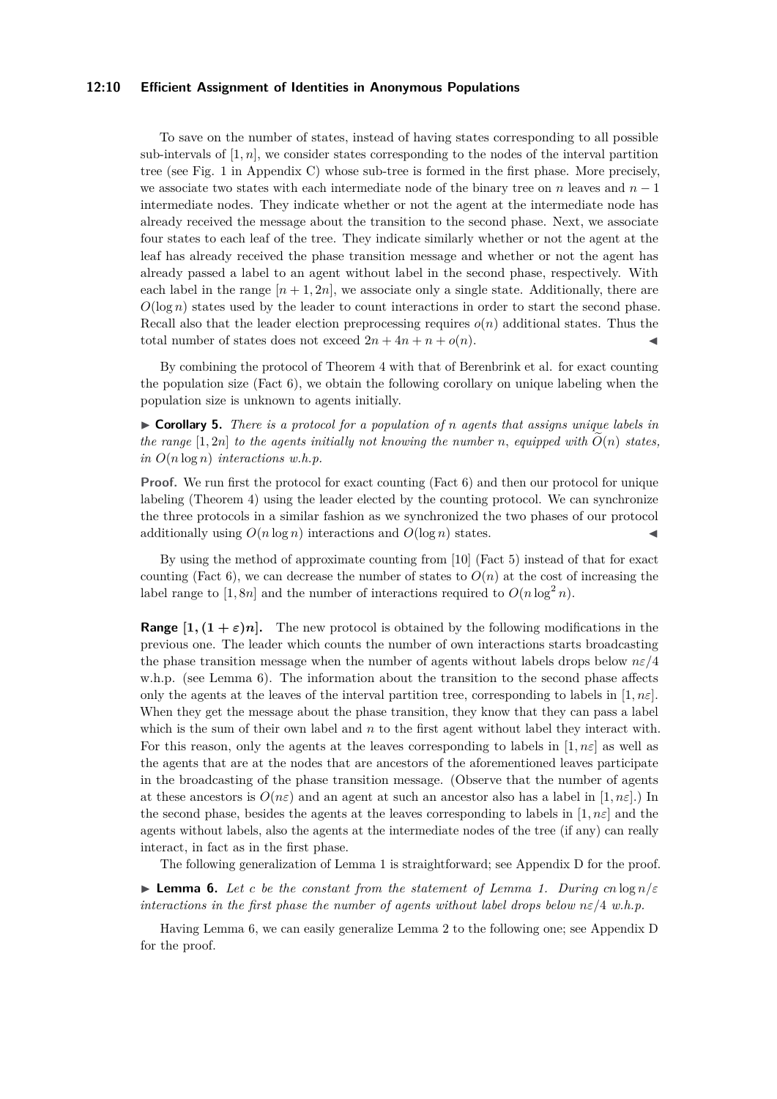#### **12:10 Efficient Assignment of Identities in Anonymous Populations**

To save on the number of states, instead of having states corresponding to all possible sub-intervals of  $[1, n]$ , we consider states corresponding to the nodes of the interval partition tree (see Fig. [1](#page-17-0) in Appendix C) whose sub-tree is formed in the first phase. More precisely, we associate two states with each intermediate node of the binary tree on *n* leaves and *n* − 1 intermediate nodes. They indicate whether or not the agent at the intermediate node has already received the message about the transition to the second phase. Next, we associate four states to each leaf of the tree. They indicate similarly whether or not the agent at the leaf has already received the phase transition message and whether or not the agent has already passed a label to an agent without label in the second phase, respectively. With each label in the range  $[n+1, 2n]$ , we associate only a single state. Additionally, there are *O*(log *n*) states used by the leader to count interactions in order to start the second phase. Recall also that the leader election preprocessing requires  $o(n)$  additional states. Thus the total number of states does not exceed  $2n + 4n + n + o(n)$ .

By combining the protocol of Theorem [4](#page-8-0) with that of Berenbrink et al. for exact counting the population size (Fact  $6$ ), we obtain the following corollary on unique labeling when the population size is unknown to agents initially.

<span id="page-9-1"></span>▶ **Corollary 5.** *There is a protocol for a population of n agents that assigns unique labels in the range*  $[1, 2n]$  *to the agents initially not knowing the number n, equipped with*  $\tilde{O}(n)$  *states, in O*(*n* log *n*) *interactions w.h.p.*

**Proof.** We run first the protocol for exact counting (Fact [6\)](#page-6-3) and then our protocol for unique labeling (Theorem [4\)](#page-8-0) using the leader elected by the counting protocol. We can synchronize the three protocols in a similar fashion as we synchronized the two phases of our protocol additionally using  $O(n \log n)$  interactions and  $O(\log n)$  states.

By using the method of approximate counting from [\[10\]](#page-16-4) (Fact [5\)](#page-6-4) instead of that for exact counting (Fact [6\)](#page-6-3), we can decrease the number of states to  $O(n)$  at the cost of increasing the label range to [1, 8*n*] and the number of interactions required to  $O(n \log^2 n)$ .

**Range**  $[1,(1+\varepsilon)n]$ . The new protocol is obtained by the following modifications in the previous one. The leader which counts the number of own interactions starts broadcasting the phase transition message when the number of agents without labels drops below  $n\varepsilon/4$ w.h.p. (see Lemma [6\)](#page-9-0). The information about the transition to the second phase affects only the agents at the leaves of the interval partition tree, corresponding to labels in  $[1, n\varepsilon]$ *.* When they get the message about the phase transition, they know that they can pass a label which is the sum of their own label and *n* to the first agent without label they interact with. For this reason, only the agents at the leaves corresponding to labels in  $[1, n\varepsilon]$  as well as the agents that are at the nodes that are ancestors of the aforementioned leaves participate in the broadcasting of the phase transition message. (Observe that the number of agents at these ancestors is  $O(n\varepsilon)$  and an agent at such an ancestor also has a label in [1, n $\varepsilon$ ].) In the second phase, besides the agents at the leaves corresponding to labels in  $[1, n\varepsilon]$  and the agents without labels, also the agents at the intermediate nodes of the tree (if any) can really interact, in fact as in the first phase.

The following generalization of Lemma [1](#page-7-0) is straightforward; see Appendix D for the proof.

<span id="page-9-0"></span>**Example 6.** Let *c* be the constant from the statement of Lemma [1.](#page-7-0) During  $cn \log n/\varepsilon$ *interactions in the first phase the number of agents without label drops below nε/*4 *w.h.p.*

Having Lemma [6,](#page-9-0) we can easily generalize Lemma [2](#page-7-1) to the following one; see Appendix D for the proof.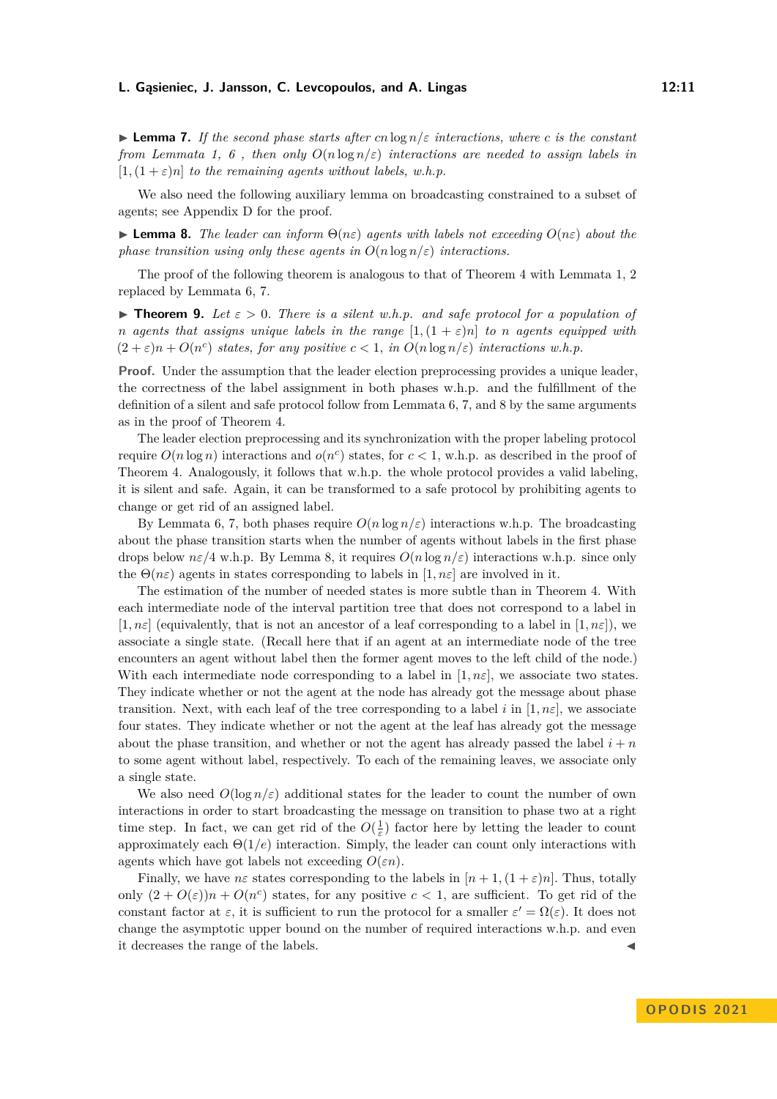<span id="page-10-1"></span>▶ **Lemma 7.** *If the second phase starts after cn* log *n/ε interactions, where c is the constant from Lemmata* [1,](#page-7-0) [6](#page-9-0), then only  $O(n \log n/\varepsilon)$  interactions are needed to assign labels in  $[1,(1+\varepsilon)n]$  *to the remaining agents without labels, w.h.p.* 

We also need the following auxiliary lemma on broadcasting constrained to a subset of agents; see Appendix D for the proof.

<span id="page-10-2"></span> $\blacktriangleright$  **Lemma 8.** *The leader can inform*  $\Theta(n\varepsilon)$  *agents with labels not exceeding*  $O(n\varepsilon)$  *about the phase transition using only these agents in*  $O(n \log n/\varepsilon)$  *interactions.* 

The proof of the following theorem is analogous to that of Theorem [4](#page-8-0) with Lemmata [1,](#page-7-0) [2](#page-7-1) replaced by Lemmata [6,](#page-9-0) [7.](#page-10-1)

<span id="page-10-0"></span>**• Theorem 9.** Let  $\varepsilon > 0$ . There is a silent w.h.p. and safe protocol for a population of *n* agents that assigns unique labels in the range  $[1,(1+\varepsilon)n]$  to *n* agents equipped with  $(2 + \varepsilon)n + O(n^c)$  *states, for any positive*  $c < 1$ *, in*  $O(n \log n/\varepsilon)$  *interactions w.h.p.* 

**Proof.** Under the assumption that the leader election preprocessing provides a unique leader, the correctness of the label assignment in both phases w.h.p. and the fulfillment of the definition of a silent and safe protocol follow from Lemmata [6,](#page-9-0) [7,](#page-10-1) and [8](#page-10-2) by the same arguments as in the proof of Theorem [4.](#page-8-0)

The leader election preprocessing and its synchronization with the proper labeling protocol require  $O(n \log n)$  interactions and  $o(n^c)$  states, for  $c < 1$ , w.h.p. as described in the proof of Theorem [4.](#page-8-0) Analogously, it follows that w.h.p. the whole protocol provides a valid labeling, it is silent and safe. Again, it can be transformed to a safe protocol by prohibiting agents to change or get rid of an assigned label.

By Lemmata [6,](#page-9-0) [7,](#page-10-1) both phases require  $O(n \log n/\varepsilon)$  interactions w.h.p. The broadcasting about the phase transition starts when the number of agents without labels in the first phase drops below  $n\varepsilon/4$  w.h.p. By Lemma [8,](#page-10-2) it requires  $O(n \log n/\varepsilon)$  interactions w.h.p. since only the  $\Theta(n\varepsilon)$  agents in states corresponding to labels in  $[1, n\varepsilon]$  are involved in it.

The estimation of the number of needed states is more subtle than in Theorem [4.](#page-8-0) With each intermediate node of the interval partition tree that does not correspond to a label in  $[1, n\varepsilon]$  (equivalently, that is not an ancestor of a leaf corresponding to a label in  $[1, n\varepsilon]$ ), we associate a single state. (Recall here that if an agent at an intermediate node of the tree encounters an agent without label then the former agent moves to the left child of the node.) With each intermediate node corresponding to a label in  $[1, n\varepsilon]$ , we associate two states. They indicate whether or not the agent at the node has already got the message about phase transition. Next, with each leaf of the tree corresponding to a label *i* in [1,  $n\varepsilon$ ], we associate four states. They indicate whether or not the agent at the leaf has already got the message about the phase transition, and whether or not the agent has already passed the label  $i + n$ to some agent without label, respectively. To each of the remaining leaves, we associate only a single state.

We also need  $O(\log n/\varepsilon)$  additional states for the leader to count the number of own interactions in order to start broadcasting the message on transition to phase two at a right time step. In fact, we can get rid of the  $O(\frac{1}{\varepsilon})$  factor here by letting the leader to count approximately each Θ(1*/e*) interaction. Simply, the leader can count only interactions with agents which have got labels not exceeding  $O(\varepsilon n)$ .

Finally, we have *nε* states corresponding to the labels in  $[n+1,(1+\varepsilon)n]$ . Thus, totally only  $(2 + O(\varepsilon))n + O(n^c)$  states, for any positive  $c < 1$ , are sufficient. To get rid of the constant factor at  $\varepsilon$ , it is sufficient to run the protocol for a smaller  $\varepsilon' = \Omega(\varepsilon)$ . It does not change the asymptotic upper bound on the number of required interactions w.h.p. and even it decreases the range of the labels.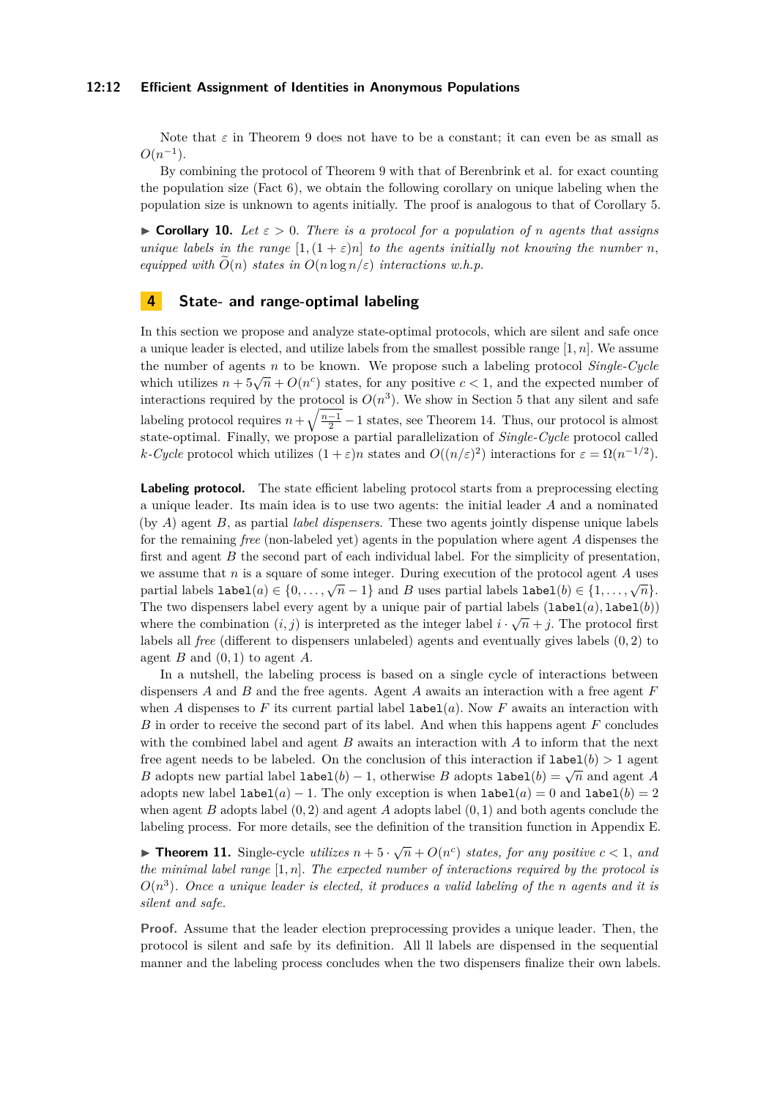#### **12:12 Efficient Assignment of Identities in Anonymous Populations**

Note that  $\varepsilon$  in Theorem [9](#page-10-0) does not have to be a constant; it can even be as small as  $O(n^{-1})$ .

By combining the protocol of Theorem [9](#page-10-0) with that of Berenbrink et al. for exact counting the population size (Fact [6\)](#page-6-3), we obtain the following corollary on unique labeling when the population size is unknown to agents initially. The proof is analogous to that of Corollary [5.](#page-9-1)

<span id="page-11-1"></span> $\triangleright$  **Corollary 10.** Let  $\varepsilon > 0$ . There is a protocol for a population of *n* agents that assigns *unique labels in the range*  $[1,(1+\varepsilon)n]$  *to the agents initially not knowing the number n*, *equipped with*  $\tilde{O}(n)$  *states in*  $O(n \log n/\varepsilon)$  *interactions w.h.p.* 

## **4 State- and range-optimal labeling**

In this section we propose and analyze state-optimal protocols, which are silent and safe once a unique leader is elected, and utilize labels from the smallest possible range [1*, n*]*.* We assume the number of agents *n* to be known. We propose such a labeling protocol *Single-Cycle* which utilizes  $n + 5\sqrt{n} + O(n^c)$  states, for any positive  $c < 1$ , and the expected number of interactions required by the protocol is  $O(n^3)$ . We show in Section 5 that any silent and safe labeling protocol requires  $n + \sqrt{\frac{n-1}{2}} - 1$  states, see Theorem [14.](#page-13-1) Thus, our protocol is almost state-optimal. Finally, we propose a partial parallelization of *Single-Cycle* protocol called *k*-*Cycle* protocol which utilizes  $(1 + \varepsilon)n$  states and  $O((n/\varepsilon)^2)$  interactions for  $\varepsilon = \Omega(n^{-1/2})$ .

**Labeling protocol.** The state efficient labeling protocol starts from a preprocessing electing a unique leader. Its main idea is to use two agents: the initial leader *A* and a nominated (by *A*) agent *B,* as partial *label dispensers*. These two agents jointly dispense unique labels for the remaining *free* (non-labeled yet) agents in the population where agent *A* dispenses the first and agent *B* the second part of each individual label. For the simplicity of presentation, we assume that *n* is a square of some integer. During execution of the protocol agent *A* uses partial labels  $\text{label}(a) \in \{0, \ldots, \sqrt{n} - 1\}$  and *B* uses partial labels  $\text{label}(b) \in \{1, \ldots, \sqrt{n}\}.$ The two dispensers label every agent by a unique pair of partial labels  $(1abel(a), label(b))$ where the combination  $(i, j)$  is interpreted as the integer label  $i \cdot \sqrt{n} + j$ . The protocol first labels all *free* (different to dispensers unlabeled) agents and eventually gives labels (0*,* 2) to agent *B* and  $(0, 1)$  to agent *A*.

In a nutshell, the labeling process is based on a single cycle of interactions between dispensers *A* and *B* and the free agents. Agent *A* awaits an interaction with a free agent *F* when *A* dispenses to *F* its current partial label  $\text{label}(a)$ . Now *F* awaits an interaction with *B* in order to receive the second part of its label. And when this happens agent *F* concludes with the combined label and agent *B* awaits an interaction with *A* to inform that the next free agent needs to be labeled. On the conclusion of this interaction if  $label(b) > 1$  agent *B* adopts new partial label  $\text{label}(b) - 1$ , otherwise *B* adopts  $\text{label}(b) = \sqrt{n}$  and agent *A* adopts new label  $\text{label}(a) - 1$ . The only exception is when  $\text{label}(a) = 0$  and  $\text{label}(b) = 2$ when agent *B* adopts label (0*,* 2) and agent *A* adopts label (0*,* 1) and both agents conclude the labeling process. For more details, see the definition of the transition function in Appendix E.

<span id="page-11-0"></span>▶ **Theorem 11.** Single-cycle *utilizes*  $n + 5 \cdot \sqrt{n} + O(n^c)$  *states, for any positive*  $c < 1$ *, and the minimal label range* [1*, n*]*. The expected number of interactions required by the protocol is O*(*n* 3 )*. Once a unique leader is elected, it produces a valid labeling of the n agents and it is silent and safe.*

**Proof.** Assume that the leader election preprocessing provides a unique leader. Then, the protocol is silent and safe by its definition. All ll labels are dispensed in the sequential manner and the labeling process concludes when the two dispensers finalize their own labels.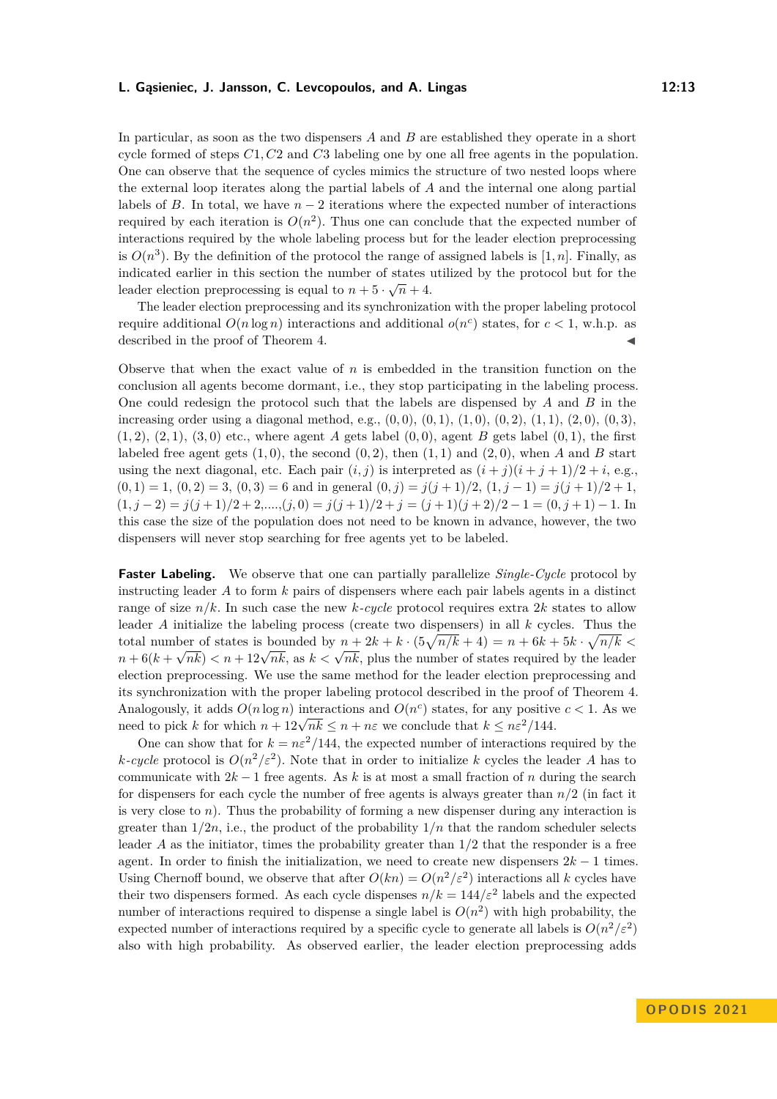In particular, as soon as the two dispensers *A* and *B* are established they operate in a short cycle formed of steps *C*1*, C*2 and *C*3 labeling one by one all free agents in the population. One can observe that the sequence of cycles mimics the structure of two nested loops where the external loop iterates along the partial labels of *A* and the internal one along partial labels of *B*. In total, we have  $n-2$  iterations where the expected number of interactions required by each iteration is  $O(n^2)$ . Thus one can conclude that the expected number of interactions required by the whole labeling process but for the leader election preprocessing is  $O(n^3)$ . By the definition of the protocol the range of assigned labels is [1, n]. Finally, as indicated earlier in this section the number of states utilized by the protocol but for the √ leader election preprocessing is equal to  $n + 5 \cdot \sqrt{n} + 4$ .

The leader election preprocessing and its synchronization with the proper labeling protocol require additional  $O(n \log n)$  interactions and additional  $o(n^c)$  states, for  $c < 1$ , w.h.p. as described in the proof of Theorem [4.](#page-8-0)

Observe that when the exact value of *n* is embedded in the transition function on the conclusion all agents become dormant, i.e., they stop participating in the labeling process. One could redesign the protocol such that the labels are dispensed by *A* and *B* in the increasing order using a diagonal method, e.g., (0*,* 0)*,* (0*,* 1)*,* (1*,* 0)*,* (0*,* 2)*,* (1*,* 1)*,* (2*,* 0)*,* (0*,* 3)*,*  $(1, 2)$ *,*  $(2, 1)$ *,*  $(3, 0)$  etc., where agent *A* gets label  $(0, 0)$ *,* agent *B* gets label  $(0, 1)$ *,* the first labeled free agent gets  $(1,0)$ , the second  $(0,2)$ , then  $(1,1)$  and  $(2,0)$ , when *A* and *B* start using the next diagonal, etc. Each pair  $(i, j)$  is interpreted as  $(i + j)(i + j + 1)/2 + i$ , e.g.,  $(0,1) = 1$ ,  $(0,2) = 3$ ,  $(0,3) = 6$  and in general  $(0,j) = j(j+1)/2$ ,  $(1,j-1) = j(j+1)/2 + 1$ ,  $(1, j - 2) = j(j + 1)/2 + 2, \ldots, (j, 0) = j(j + 1)/2 + j = (j + 1)(j + 2)/2 - 1 = (0, j + 1) - 1$ *.* In this case the size of the population does not need to be known in advance, however, the two dispensers will never stop searching for free agents yet to be labeled.

**Faster Labeling.** We observe that one can partially parallelize *Single-Cycle* protocol by instructing leader *A* to form *k* pairs of dispensers where each pair labels agents in a distinct range of size  $n/k$ . In such case the new *k-cycle* protocol requires extra 2*k* states to allow leader *A* initialize the labeling process (create two dispensers) in all *k* cycles. Thus the total number of states is bounded by  $n + 2k + k \cdot (5\sqrt{n/k} + 4) = n + 6k + 5k \cdot \sqrt{n/k} <$ *n* + 6(*k* +  $\sqrt{nk}$ )  $\lt n$  + 12 $\sqrt{nk}$ , as  $k \lt \sqrt{nk}$ , plus the number of states required by the leader election preprocessing. We use the same method for the leader election preprocessing and its synchronization with the proper labeling protocol described in the proof of Theorem [4.](#page-8-0) Analogously, it adds  $O(n \log n)$  interactions and  $O(n^c)$  states, for any positive  $c < 1$ . As we Analogously, it adds  $O(n \log n)$  interactions and  $O(n^2)$  states, for any positive need to pick k for which  $n + 12\sqrt{nk} \leq n + n\varepsilon$  we conclude that  $k \leq n\varepsilon^2/144$ .

One can show that for  $k = n\varepsilon^2/144$ , the expected number of interactions required by the *k*-cycle protocol is  $O(n^2/\varepsilon^2)$ . Note that in order to initialize *k* cycles the leader *A* has to communicate with 2*k* − 1 free agents. As *k* is at most a small fraction of *n* during the search for dispensers for each cycle the number of free agents is always greater than *n/*2 (in fact it is very close to *n*). Thus the probability of forming a new dispenser during any interaction is greater than  $1/2n$ , i.e., the product of the probability  $1/n$  that the random scheduler selects leader *A* as the initiator, times the probability greater than 1*/*2 that the responder is a free agent. In order to finish the initialization, we need to create new dispensers  $2k - 1$  times. Using Chernoff bound, we observe that after  $O(kn) = O(n^2/\varepsilon^2)$  interactions all *k* cycles have their two dispensers formed. As each cycle dispenses  $n/k = 144/\varepsilon^2$  labels and the expected number of interactions required to dispense a single label is  $O(n^2)$  with high probability, the expected number of interactions required by a specific cycle to generate all labels is  $O(n^2/\varepsilon^2)$ also with high probability. As observed earlier, the leader election preprocessing adds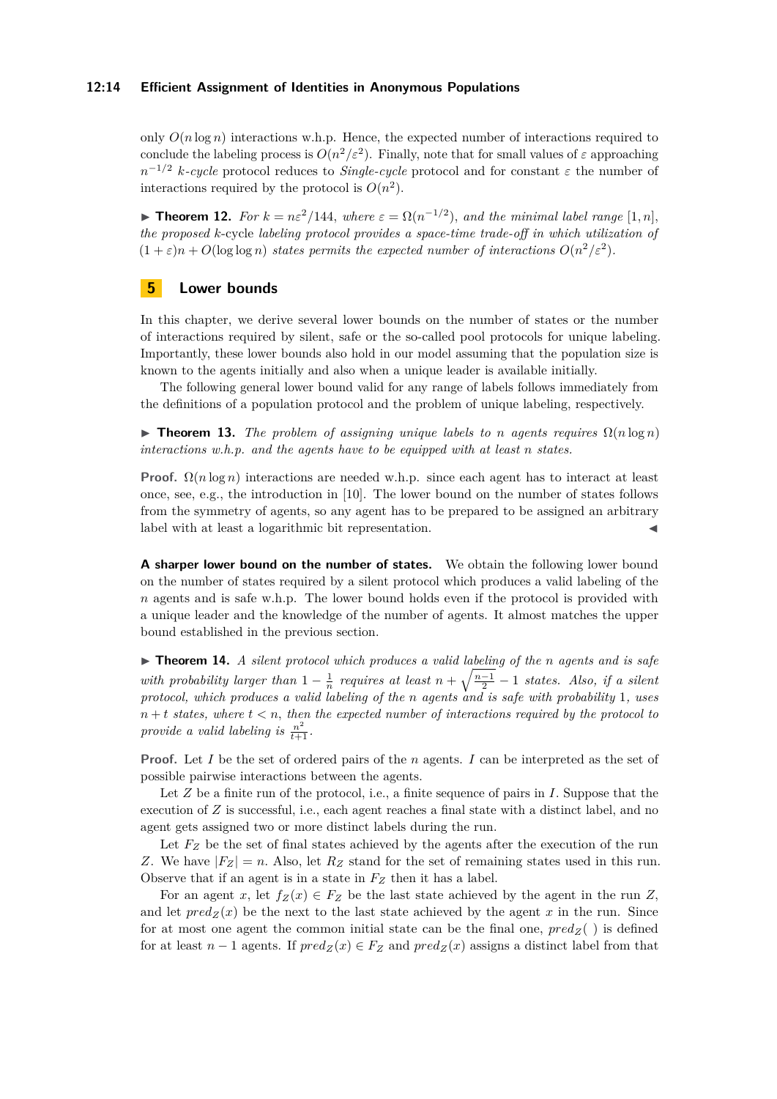#### **12:14 Efficient Assignment of Identities in Anonymous Populations**

only  $O(n \log n)$  interactions w.h.p. Hence, the expected number of interactions required to conclude the labeling process is  $O(n^2/\varepsilon^2)$ . Finally, note that for small values of  $\varepsilon$  approaching *n*<sup>-1/2</sup> *k-cycle* protocol reduces to *Single-cycle* protocol and for constant *ε* the number of interactions required by the protocol is  $O(n^2)$ .

<span id="page-13-0"></span>▶ **Theorem 12.** For  $k = n\varepsilon^2/144$ , where  $\varepsilon = \Omega(n^{-1/2})$ , and the minimal label range [1, n], *the proposed k*-cycle *labeling protocol provides a space-time trade-off in which utilization of*  $(1 + \varepsilon)n + O(\log \log n)$  *states permits the expected number of interactions*  $O(n^2/\varepsilon^2)$ .

## **5 Lower bounds**

In this chapter, we derive several lower bounds on the number of states or the number of interactions required by silent, safe or the so-called pool protocols for unique labeling. Importantly, these lower bounds also hold in our model assuming that the population size is known to the agents initially and also when a unique leader is available initially.

The following general lower bound valid for any range of labels follows immediately from the definitions of a population protocol and the problem of unique labeling, respectively.

<span id="page-13-2"></span> $\triangleright$  **Theorem 13.** *The problem of assigning unique labels to n agents requires*  $\Omega(n \log n)$ *interactions w.h.p. and the agents have to be equipped with at least n states.*

**Proof.**  $\Omega(n \log n)$  interactions are needed w.h.p. since each agent has to interact at least once, see, e.g., the introduction in [\[10\]](#page-16-4). The lower bound on the number of states follows from the symmetry of agents, so any agent has to be prepared to be assigned an arbitrary label with at least a logarithmic bit representation.

**A sharper lower bound on the number of states.** We obtain the following lower bound on the number of states required by a silent protocol which produces a valid labeling of the *n* agents and is safe w.h.p. The lower bound holds even if the protocol is provided with a unique leader and the knowledge of the number of agents. It almost matches the upper bound established in the previous section.

<span id="page-13-1"></span>▶ **Theorem 14.** *A silent protocol which produces a valid labeling of the n agents and is safe with probability larger than*  $1 - \frac{1}{n}$  *requires at least*  $n + \sqrt{\frac{n-1}{2}} - 1$  *states. Also, if a silent protocol, which produces a valid labeling of the n agents and is safe with probability* 1*, uses*  $n + t$  *states, where*  $t < n$ *, then the expected number of interactions required by the protocol to* provide a valid labeling is  $\frac{n^2}{t+1}$ .

**Proof.** Let *I* be the set of ordered pairs of the *n* agents. *I* can be interpreted as the set of possible pairwise interactions between the agents.

Let *Z* be a finite run of the protocol, i.e., a finite sequence of pairs in *I*. Suppose that the execution of *Z* is successful, i.e., each agent reaches a final state with a distinct label, and no agent gets assigned two or more distinct labels during the run.

Let  $F_Z$  be the set of final states achieved by the agents after the execution of the run *Z*. We have  $|F_Z| = n$ . Also, let  $R_Z$  stand for the set of remaining states used in this run. Observe that if an agent is in a state in *F<sup>Z</sup>* then it has a label.

For an agent *x*, let  $f_Z(x) \in F_Z$  be the last state achieved by the agent in the run *Z*, and let  $pred_Z(x)$  be the next to the last state achieved by the agent x in the run. Since for at most one agent the common initial state can be the final one,  $pred_Z()$  is defined for at least  $n-1$  agents. If  $pred_Z(x) \in F_Z$  and  $pred_Z(x)$  assigns a distinct label from that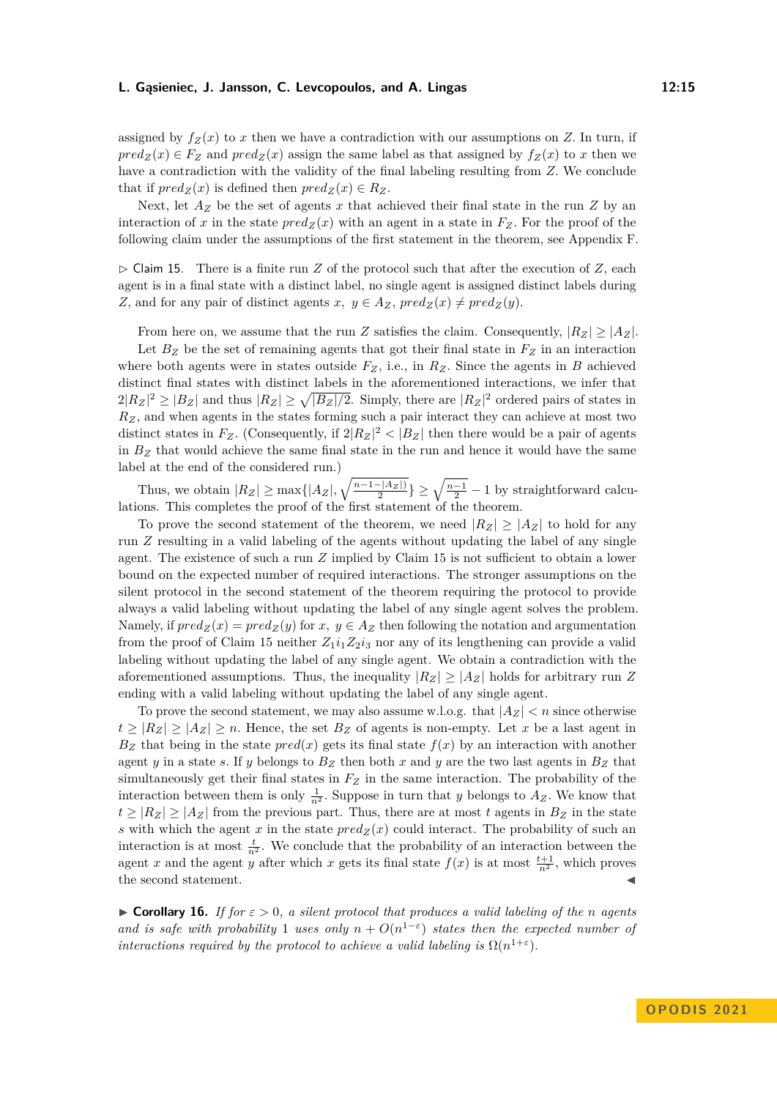assigned by  $f_Z(x)$  to x then we have a contradiction with our assumptions on Z. In turn, if  $pred_Z(x) \in F_Z$  and  $pred_Z(x)$  assign the same label as that assigned by  $f_Z(x)$  to *x* then we have a contradiction with the validity of the final labeling resulting from *Z.* We conclude that if  $pred_Z(x)$  is defined then  $pred_Z(x) \in R_Z$ .

Next, let *A<sup>Z</sup>* be the set of agents *x* that achieved their final state in the run *Z* by an interaction of *x* in the state  $pred_Z(x)$  with an agent in a state in  $F_Z$ . For the proof of the following claim under the assumptions of the first statement in the theorem, see Appendix F.

<span id="page-14-0"></span> $\triangleright$  Claim 15. There is a finite run *Z* of the protocol such that after the execution of *Z*, each agent is in a final state with a distinct label, no single agent is assigned distinct labels during *Z*, and for any pair of distinct agents *x*,  $y \in A_Z$ ,  $pred_Z(x) \neq pred_Z(y)$ .

From here on, we assume that the run *Z* satisfies the claim. Consequently,  $|R_Z| \geq |A_Z|$ .

Let  $B_Z$  be the set of remaining agents that got their final state in  $F_Z$  in an interaction where both agents were in states outside  $F_Z$ , i.e., in  $R_Z$ . Since the agents in *B* achieved distinct final states with distinct labels in the aforementioned interactions, we infer that  $2|R_Z|^2 \geq |B_Z|$  and thus  $|R_Z| \geq \sqrt{|B_Z|/2}$ . Simply, there are  $|R_Z|^2$  ordered pairs of states in  $R_Z$ , and when agents in the states forming such a pair interact they can achieve at most two distinct states in  $F_Z$ . (Consequently, if  $2|R_Z|^2 < |B_Z|$  then there would be a pair of agents in  $B_Z$  that would achieve the same final state in the run and hence it would have the same label at the end of the considered run.)

Thus, we obtain  $|R_Z| \ge \max\{|A_Z|, \sqrt{\frac{n-1-|A_Z|}{2}}\} \ge \sqrt{\frac{n-1}{2}} - 1$  by straightforward calculations. This completes the proof of the first statement of the theorem.

To prove the second statement of the theorem, we need  $|R_Z| \geq |A_Z|$  to hold for any run *Z* resulting in a valid labeling of the agents without updating the label of any single agent. The existence of such a run *Z* implied by Claim [15](#page-14-0) is not sufficient to obtain a lower bound on the expected number of required interactions. The stronger assumptions on the silent protocol in the second statement of the theorem requiring the protocol to provide always a valid labeling without updating the label of any single agent solves the problem. Namely, if  $pred_Z(x) = pred_Z(y)$  for  $x, y \in A_Z$  then following the notation and argumentation from the proof of Claim [15](#page-14-0) neither  $Z_1 i_1 Z_2 i_3$  nor any of its lengthening can provide a valid labeling without updating the label of any single agent. We obtain a contradiction with the aforementioned assumptions. Thus, the inequality  $|R_Z| \geq |A_Z|$  holds for arbitrary run Z ending with a valid labeling without updating the label of any single agent.

To prove the second statement, we may also assume w.l.o.g. that  $|A_Z| < n$  since otherwise  $t \geq |R_Z| \geq |A_Z| \geq n$ . Hence, the set  $B_Z$  of agents is non-empty. Let *x* be a last agent in  $B_Z$  that being in the state  $pred(x)$  gets its final state  $f(x)$  by an interaction with another agent *y* in a state *s*. If *y* belongs to  $B_Z$  then both *x* and *y* are the two last agents in  $B_Z$  that simultaneously get their final states in *F<sup>Z</sup>* in the same interaction. The probability of the interaction between them is only  $\frac{1}{n^2}$ . Suppose in turn that *y* belongs to  $A_Z$ . We know that  $t \geq |R_Z| \geq |A_Z|$  from the previous part. Thus, there are at most *t* agents in  $B_Z$  in the state *s* with which the agent *x* in the state  $pred_Z(x)$  could interact. The probability of such an interaction is at most  $\frac{t}{n^2}$ . We conclude that the probability of an interaction between the agent *x* and the agent *y* after which *x* gets its final state  $f(x)$  is at most  $\frac{t+1}{n^2}$ , which proves the second statement.

 $\triangleright$  **Corollary 16.** *If for*  $\varepsilon > 0$ , a silent protocol that produces a valid labeling of the n agents *and is safe with probability* 1 *uses only*  $n + O(n^{1-\epsilon})$  *states then the expected number of interactions required by the protocol to achieve a valid labeling is*  $\Omega(n^{1+\epsilon})$ *.*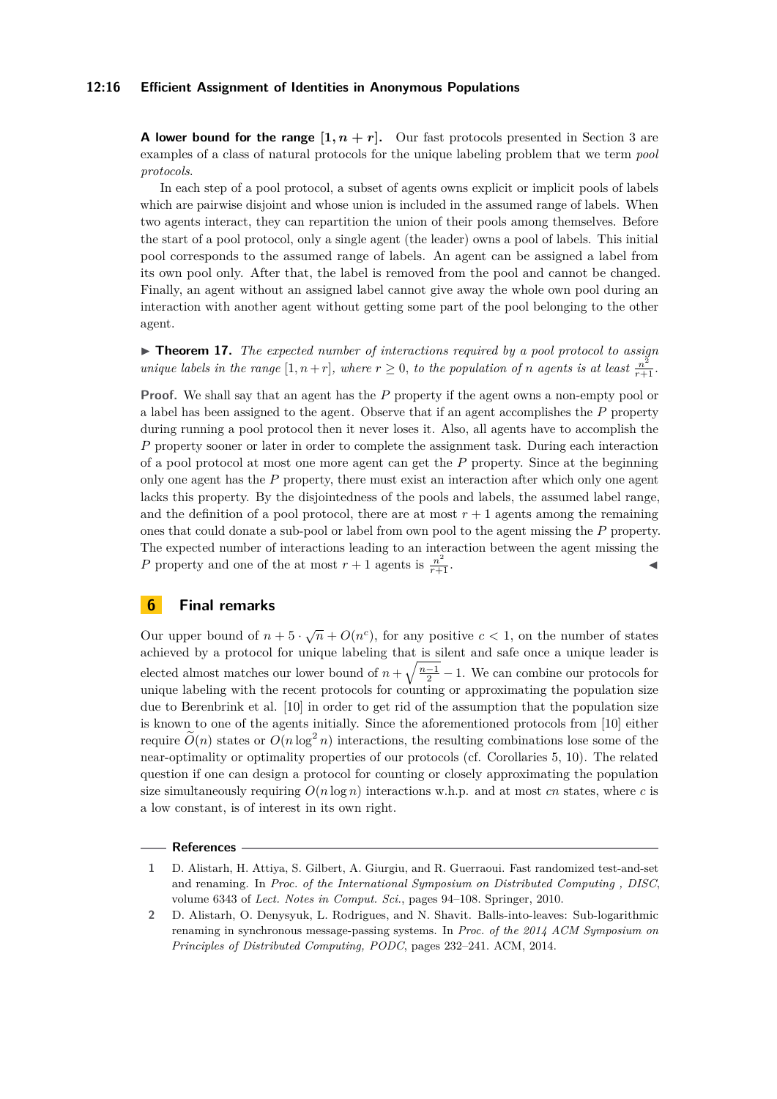#### **12:16 Efficient Assignment of Identities in Anonymous Populations**

**A lower bound for the range**  $[1, n + r]$ . Our fast protocols presented in Section 3 are examples of a class of natural protocols for the unique labeling problem that we term *pool protocols*.

In each step of a pool protocol, a subset of agents owns explicit or implicit pools of labels which are pairwise disjoint and whose union is included in the assumed range of labels. When two agents interact, they can repartition the union of their pools among themselves. Before the start of a pool protocol, only a single agent (the leader) owns a pool of labels. This initial pool corresponds to the assumed range of labels. An agent can be assigned a label from its own pool only. After that, the label is removed from the pool and cannot be changed. Finally, an agent without an assigned label cannot give away the whole own pool during an interaction with another agent without getting some part of the pool belonging to the other agent.

<span id="page-15-0"></span>▶ **Theorem 17.** *The expected number of interactions required by a pool protocol to assign unique labels in the range*  $[1, n+r]$ *, where*  $r \geq 0$ *, to the population of n agents is at least*  $\frac{n^2}{r+1}$ *.* 

**Proof.** We shall say that an agent has the P property if the agent owns a non-empty pool or a label has been assigned to the agent. Observe that if an agent accomplishes the *P* property during running a pool protocol then it never loses it. Also, all agents have to accomplish the *P* property sooner or later in order to complete the assignment task. During each interaction of a pool protocol at most one more agent can get the *P* property. Since at the beginning only one agent has the *P* property, there must exist an interaction after which only one agent lacks this property. By the disjointedness of the pools and labels, the assumed label range, and the definition of a pool protocol, there are at most  $r + 1$  agents among the remaining ones that could donate a sub-pool or label from own pool to the agent missing the *P* property. The expected number of interactions leading to an interaction between the agent missing the *P* property and one of the at most  $r + 1$  agents is  $\frac{n^2}{r+1}$  $\frac{n^2}{r+1}$  **.** 

## **6 Final remarks**

Our upper bound of  $n + 5 \cdot \sqrt{n} + O(n^c)$ , for any positive  $c < 1$ , on the number of states achieved by a protocol for unique labeling that is silent and safe once a unique leader is elected almost matches our lower bound of  $n + \sqrt{\frac{n-1}{2}} - 1$ . We can combine our protocols for unique labeling with the recent protocols for counting or approximating the population size due to Berenbrink et al. [\[10\]](#page-16-4) in order to get rid of the assumption that the population size is known to one of the agents initially. Since the aforementioned protocols from [\[10\]](#page-16-4) either require  $\tilde{O}(n)$  states or  $O(n \log^2 n)$  interactions, the resulting combinations lose some of the near-optimality or optimality properties of our protocols (cf. Corollaries [5,](#page-9-1) [10\)](#page-11-1). The related question if one can design a protocol for counting or closely approximating the population size simultaneously requiring  $O(n \log n)$  interactions w.h.p. and at most *cn* states, where *c* is a low constant, is of interest in its own right.

#### **References**

<span id="page-15-2"></span>**<sup>1</sup>** D. Alistarh, H. Attiya, S. Gilbert, A. Giurgiu, and R. Guerraoui. Fast randomized test-and-set and renaming. In *Proc. of the International Symposium on Distributed Computing , DISC*, volume 6343 of *Lect. Notes in Comput. Sci.*, pages 94–108. Springer, 2010.

<span id="page-15-1"></span>**<sup>2</sup>** D. Alistarh, O. Denysyuk, L. Rodrigues, and N. Shavit. Balls-into-leaves: Sub-logarithmic renaming in synchronous message-passing systems. In *Proc. of the 2014 ACM Symposium on Principles of Distributed Computing, PODC*, pages 232–241. ACM, 2014.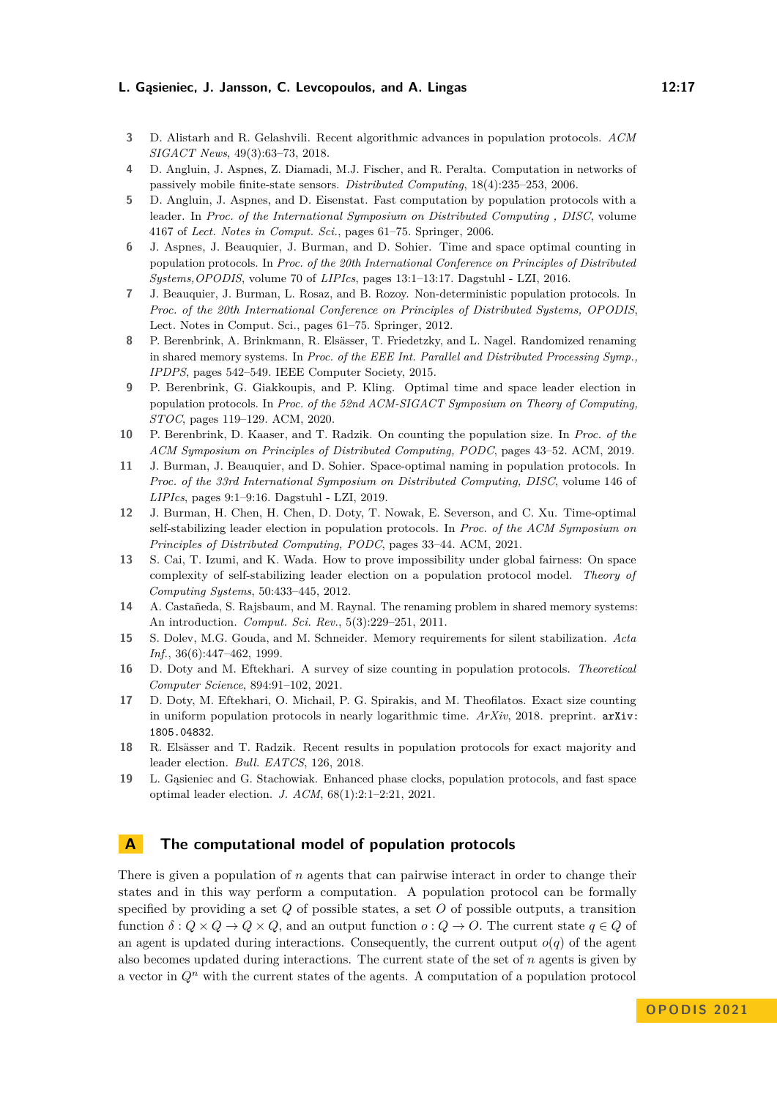- <span id="page-16-6"></span>**3** D. Alistarh and R. Gelashvili. Recent algorithmic advances in population protocols. *ACM SIGACT News*, 49(3):63–73, 2018.
- <span id="page-16-0"></span>**4** D. Angluin, J. Aspnes, Z. Diamadi, M.J. Fischer, and R. Peralta. Computation in networks of passively mobile finite-state sensors. *Distributed Computing*, 18(4):235–253, 2006.
- <span id="page-16-3"></span>**5** D. Angluin, J. Aspnes, and D. Eisenstat. Fast computation by population protocols with a leader. In *Proc. of the International Symposium on Distributed Computing , DISC*, volume 4167 of *Lect. Notes in Comput. Sci.*, pages 61–75. Springer, 2006.
- <span id="page-16-13"></span>**6** J. Aspnes, J. Beauquier, J. Burman, and D. Sohier. Time and space optimal counting in population protocols. In *Proc. of the 20th International Conference on Principles of Distributed Systems,OPODIS*, volume 70 of *LIPIcs*, pages 13:1–13:17. Dagstuhl - LZI, 2016.
- <span id="page-16-11"></span>**7** J. Beauquier, J. Burman, L. Rosaz, and B. Rozoy. Non-deterministic population protocols. In *Proc. of the 20th International Conference on Principles of Distributed Systems, OPODIS*, Lect. Notes in Comput. Sci., pages 61–75. Springer, 2012.
- <span id="page-16-10"></span>**8** P. Berenbrink, A. Brinkmann, R. Elsässer, T. Friedetzky, and L. Nagel. Randomized renaming in shared memory systems. In *Proc. of the EEE Int. Parallel and Distributed Processing Symp., IPDPS*, pages 542–549. IEEE Computer Society, 2015.
- <span id="page-16-14"></span>**9** P. Berenbrink, G. Giakkoupis, and P. Kling. Optimal time and space leader election in population protocols. In *Proc. of the 52nd ACM-SIGACT Symposium on Theory of Computing, STOC*, pages 119–129. ACM, 2020.
- <span id="page-16-4"></span>**10** P. Berenbrink, D. Kaaser, and T. Radzik. On counting the population size. In *Proc. of the ACM Symposium on Principles of Distributed Computing, PODC*, pages 43–52. ACM, 2019.
- <span id="page-16-5"></span>**11** J. Burman, J. Beauquier, and D. Sohier. Space-optimal naming in population protocols. In *Proc. of the 33rd International Symposium on Distributed Computing, DISC*, volume 146 of *LIPIcs*, pages 9:1–9:16. Dagstuhl - LZI, 2019.
- <span id="page-16-1"></span>**12** J. Burman, H. Chen, H. Chen, D. Doty, T. Nowak, E. Severson, and C. Xu. Time-optimal self-stabilizing leader election in population protocols. In *Proc. of the ACM Symposium on Principles of Distributed Computing, PODC*, pages 33–44. ACM, 2021.
- <span id="page-16-2"></span>**13** S. Cai, T. Izumi, and K. Wada. How to prove impossibility under global fairness: On space complexity of self-stabilizing leader election on a population protocol model. *Theory of Computing Systems*, 50:433–445, 2012.
- <span id="page-16-9"></span>**14** A. Castañeda, S. Rajsbaum, and M. Raynal. The renaming problem in shared memory systems: An introduction. *Comput. Sci. Rev.*, 5(3):229–251, 2011.
- <span id="page-16-8"></span>**15** S. Dolev, M.G. Gouda, and M. Schneider. Memory requirements for silent stabilization. *Acta Inf.*, 36(6):447–462, 1999.
- <span id="page-16-15"></span>**16** D. Doty and M. Eftekhari. A survey of size counting in population protocols. *Theoretical Computer Science*, 894:91–102, 2021.
- <span id="page-16-12"></span>**17** D. Doty, M. Eftekhari, O. Michail, P. G. Spirakis, and M. Theofilatos. Exact size counting in uniform population protocols in nearly logarithmic time. *ArXiv*, 2018. preprint. [arXiv:](http://arxiv.org/abs/1805.04832) [1805.04832](http://arxiv.org/abs/1805.04832).
- <span id="page-16-7"></span>**18** R. Elsässer and T. Radzik. Recent results in population protocols for exact majority and leader election. *Bull. EATCS*, 126, 2018.
- <span id="page-16-16"></span>**19** L. Gąsieniec and G. Stachowiak. Enhanced phase clocks, population protocols, and fast space optimal leader election. *J. ACM*, 68(1):2:1–2:21, 2021.

## **A The computational model of population protocols**

There is given a population of *n* agents that can pairwise interact in order to change their states and in this way perform a computation. A population protocol can be formally specified by providing a set *Q* of possible states, a set *O* of possible outputs, a transition function  $\delta: Q \times Q \to Q \times Q$ , and an output function  $o: Q \to O$ . The current state  $q \in Q$  of an agent is updated during interactions. Consequently, the current output  $o(q)$  of the agent also becomes updated during interactions. The current state of the set of *n* agents is given by a vector in  $Q<sup>n</sup>$  with the current states of the agents. A computation of a population protocol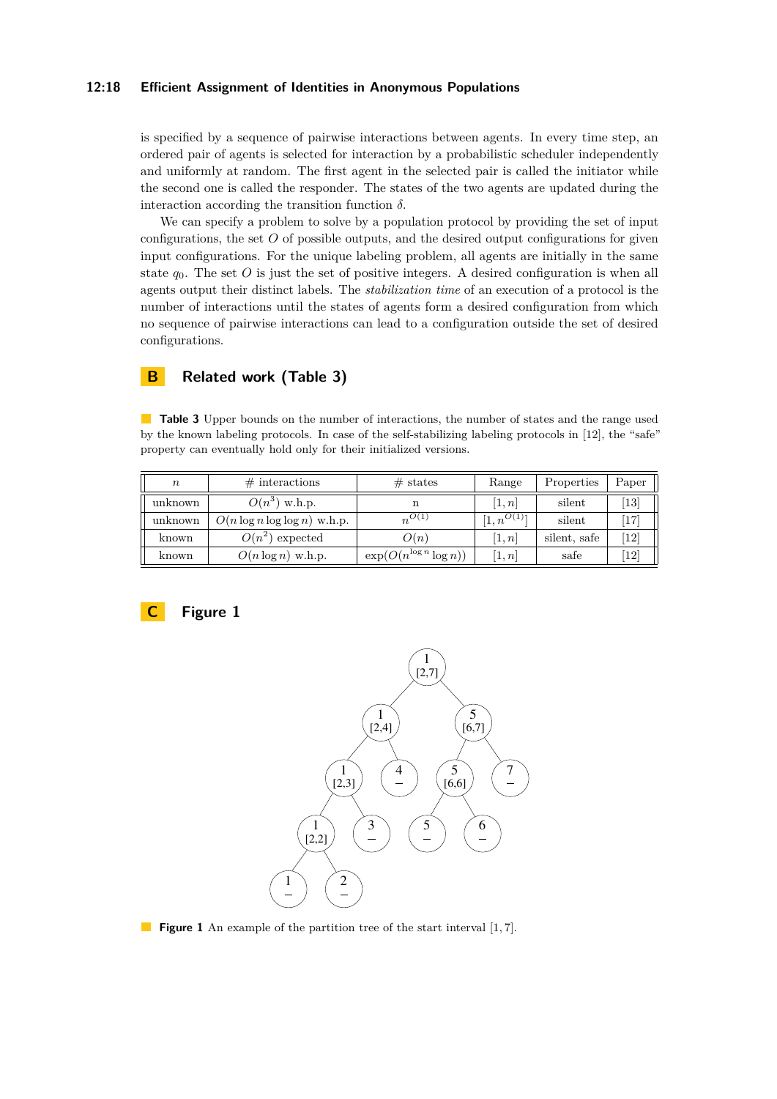#### **12:18 Efficient Assignment of Identities in Anonymous Populations**

is specified by a sequence of pairwise interactions between agents. In every time step, an ordered pair of agents is selected for interaction by a probabilistic scheduler independently and uniformly at random. The first agent in the selected pair is called the initiator while the second one is called the responder. The states of the two agents are updated during the interaction according the transition function *δ.*

We can specify a problem to solve by a population protocol by providing the set of input configurations, the set *O* of possible outputs, and the desired output configurations for given input configurations. For the unique labeling problem, all agents are initially in the same state  $q_0$ . The set  $O$  is just the set of positive integers. A desired configuration is when all agents output their distinct labels. The *stabilization time* of an execution of a protocol is the number of interactions until the states of agents form a desired configuration from which no sequence of pairwise interactions can lead to a configuration outside the set of desired configurations.

## **B Related work (Table 3)**

**Table 3** Upper bounds on the number of interactions, the number of states and the range used by the known labeling protocols. In case of the self-stabilizing labeling protocols in [\[12\]](#page-16-1), the "safe" property can eventually hold only for their initialized versions.

| $\boldsymbol{n}$ | $\#$ interactions                | $#$ states                   | Range                      | Properties   | Paper                        |
|------------------|----------------------------------|------------------------------|----------------------------|--------------|------------------------------|
| unknown          | $O(n^3)$ w.h.p.                  | n                            | [1,n]                      | silent       | $\left 13\right $            |
| unknown          | $O(n \log n \log \log n)$ w.h.p. | $n^{O(1)}$                   | $[1, n^{\overline{O(1)}}]$ | silent       | 17                           |
| known            | $O(n^2)$ expected                | O(n)                         | $\left[1,n\right]$         | silent, safe | $\left\lceil 12\right\rceil$ |
| known            | $O(n \log n)$ w.h.p.             | $\exp(O(n^{\log n} \log n))$ | [1,n]                      | safe         | 12                           |

<span id="page-17-0"></span>



**Figure 1** An example of the partition tree of the start interval [1,7].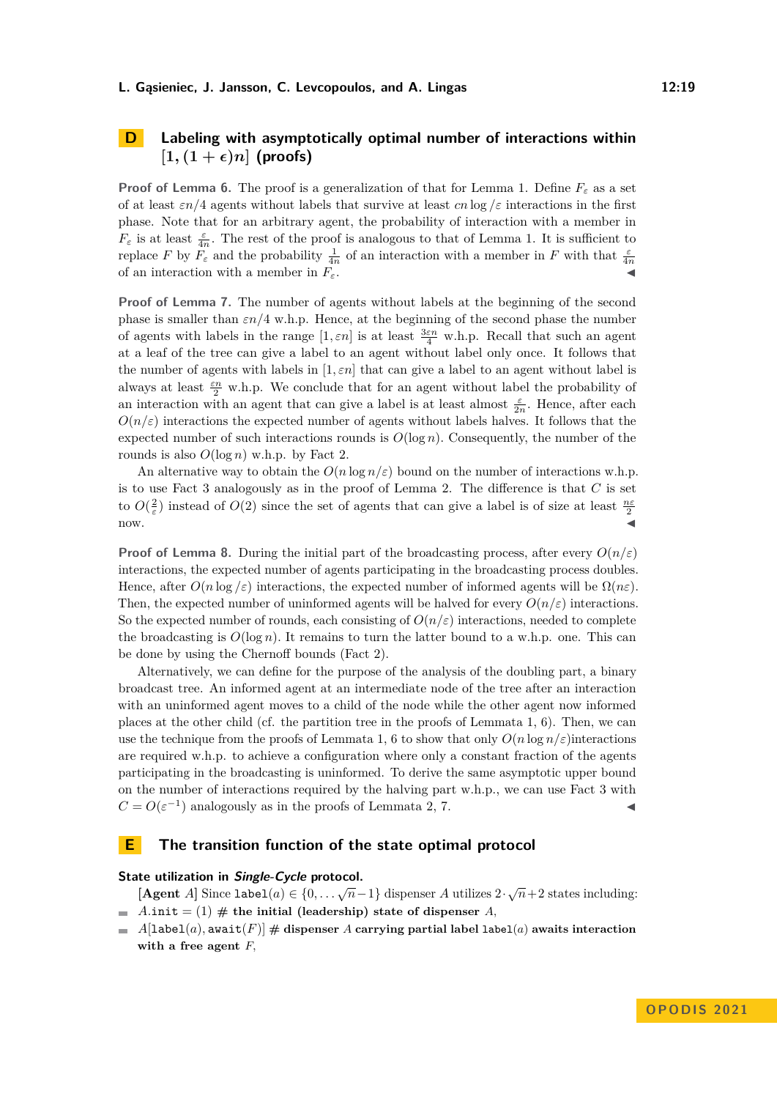## **D Labeling with asymptotically optimal number of interactions within**  $[1, (1 + \epsilon)n]$  (proofs)

**Proof of Lemma [6.](#page-9-0)** The proof is a generalization of that for Lemma [1.](#page-7-0) Define  $F_{\varepsilon}$  as a set of at least *εn/*4 agents without labels that survive at least *cn* log */ε* interactions in the first phase. Note that for an arbitrary agent, the probability of interaction with a member in  $F_{\varepsilon}$  is at least  $\frac{\varepsilon}{4n}$ . The rest of the proof is analogous to that of Lemma [1.](#page-7-0) It is sufficient to replace *F* by  $F_{\varepsilon}$  and the probability  $\frac{1}{4n}$  of an interaction with a member in *F* with that  $\frac{\varepsilon}{4n}$ of an interaction with a member in  $F_{\varepsilon}$ .

**Proof of Lemma [7.](#page-10-1)** The number of agents without labels at the beginning of the second phase is smaller than *εn/*4 w.h.p. Hence, at the beginning of the second phase the number of agents with labels in the range  $[1, \varepsilon n]$  is at least  $\frac{3\varepsilon n}{4}$  w.h.p. Recall that such an agent at a leaf of the tree can give a label to an agent without label only once. It follows that the number of agents with labels in  $[1, \varepsilon n]$  that can give a label to an agent without label is always at least *εn* <sup>2</sup> w.h.p. We conclude that for an agent without label the probability of an interaction with an agent that can give a label is at least almost  $\frac{\varepsilon}{2n}$ . Hence, after each  $O(n/\varepsilon)$  interactions the expected number of agents without labels halves. It follows that the expected number of such interactions rounds is  $O(\log n)$ . Consequently, the number of the rounds is also  $O(\log n)$  w.h.p. by Fact [2.](#page-5-0)

An alternative way to obtain the  $O(n \log n/\varepsilon)$  bound on the number of interactions w.h.p. is to use Fact [3](#page-6-2) analogously as in the proof of Lemma [2.](#page-7-1) The difference is that *C* is set to  $O(\frac{2}{\varepsilon})$  instead of  $O(2)$  since the set of agents that can give a label is of size at least  $\frac{n\varepsilon}{2}$  $now.$ 

**Proof of Lemma [8.](#page-10-2)** During the initial part of the broadcasting process, after every  $O(n/\varepsilon)$ interactions, the expected number of agents participating in the broadcasting process doubles. Hence, after  $O(n \log \varepsilon)$  interactions, the expected number of informed agents will be  $\Omega(n \varepsilon)$ . Then, the expected number of uninformed agents will be halved for every  $O(n/\varepsilon)$  interactions. So the expected number of rounds, each consisting of  $O(n/\varepsilon)$  interactions, needed to complete the broadcasting is  $O(\log n)$ . It remains to turn the latter bound to a w.h.p. one. This can be done by using the Chernoff bounds (Fact [2\)](#page-5-0).

Alternatively, we can define for the purpose of the analysis of the doubling part, a binary broadcast tree. An informed agent at an intermediate node of the tree after an interaction with an uninformed agent moves to a child of the node while the other agent now informed places at the other child (cf. the partition tree in the proofs of Lemmata [1,](#page-7-0) [6\)](#page-9-0). Then, we can use the technique from the proofs of Lemmata [1,](#page-7-0) [6](#page-9-0) to show that only  $O(n \log n/\varepsilon)$  interactions are required w.h.p. to achieve a configuration where only a constant fraction of the agents participating in the broadcasting is uninformed. To derive the same asymptotic upper bound on the number of interactions required by the halving part w.h.p., we can use Fact [3](#page-6-2) with  $C = O(\varepsilon^{-1})$  analogously as in the proofs of Lemmata [2,](#page-7-1) [7.](#page-10-1)

#### **E The transition function of the state optimal protocol**

## **State utilization in Single-Cycle protocol.**

**[Agent** *A*] Since label(*a*)  $\in \{0, \ldots \sqrt{n-1}\}$  dispenser *A* utilizes  $2 \cdot \sqrt{n+2}$  states including:  $\blacksquare$  *A.*init = (1)  $\#$  the initial (leadership) state of dispenser *A*,

 $A[label(a),$  await $(F)] \#$  dispenser *A* carrying partial label label(*a*) awaits interaction  $\blacksquare$ **with a free agent** *F,*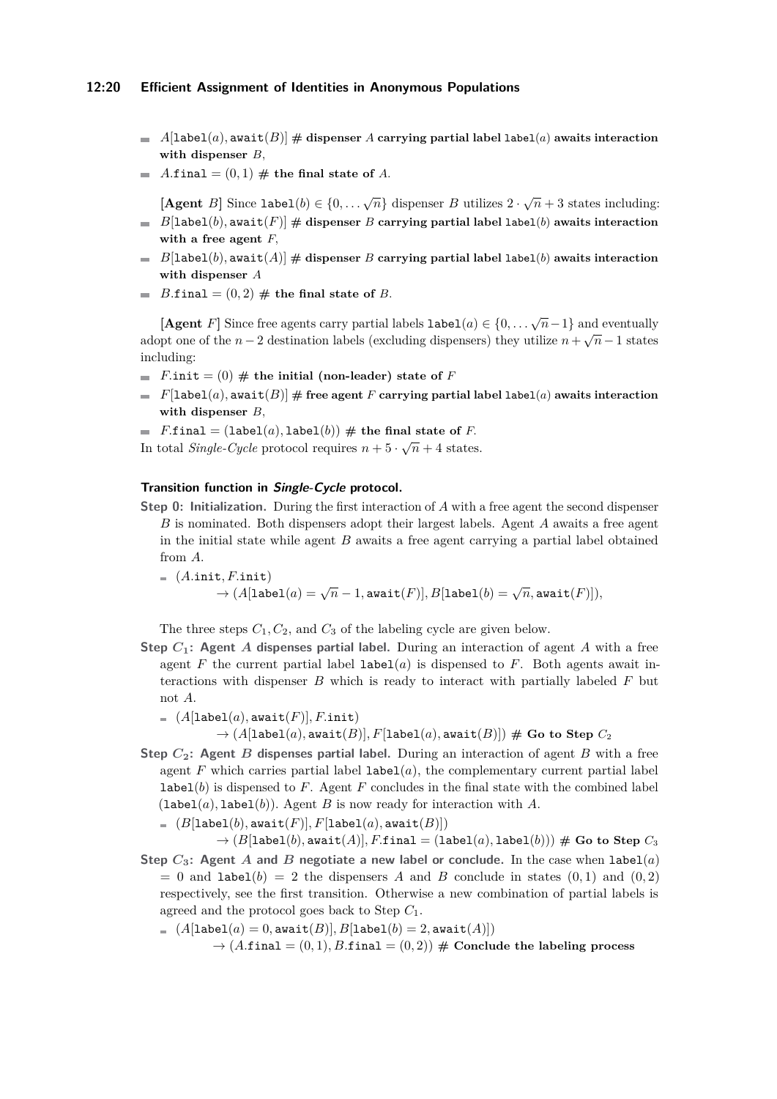#### **12:20 Efficient Assignment of Identities in Anonymous Populations**

- $\blacksquare$  *A*[label(*a*), await(*B*)] # dispenser *A* carrying partial label label(*a*) awaits interaction **with dispenser** *B,*
- $A$ *final* =  $(0,1)$   $#$  the final state of *A*.

**[Agent** *B*] Since  $\text{label}(b) \in \{0, \ldots, \sqrt{n}\}\$  dispenser *B* utilizes  $2 \cdot \sqrt{n} + 3$  states including:  $\blacksquare$  *B*[label(*b*), await(*F*)]  $\#$  dispenser *B* carrying partial label label(*b*) awaits interaction

- **with a free agent** *F,*
- $\blacksquare$  *B*[label(*b*), await(*A*)]  $\#$  dispenser *B* carrying partial label label(*b*) awaits interaction **with dispenser** *A*
- *B.final* =  $(0, 2)$   $#$  the final state of *B.* m.

**[Agent** *F*] Since free agents carry partial labels  $\text{label}(a) \in \{0, \ldots, \sqrt{n}-1\}$  and eventually adopt one of the *n* − 2 destination labels (excluding dispensers) they utilize  $n + \sqrt{n} - 1$  states including:

- *F.*init =  $(0)$  # the initial (non-leader) state of *F*
- $F[{\tt label}(a),{\tt await}(B)]$  # free agent *F* carrying partial label  ${\tt label}(a)$  awaits interaction  $\blacksquare$ **with dispenser** *B,*
- *F.final* =  $($ label $(a)$ , label $(b)$ )  $#$  the final state of *F.*

In total *Single-Cycle* protocol requires  $n + 5 \cdot \sqrt{n} + 4$  states.

#### **Transition function in Single-Cycle protocol.**

**Step 0: Initialization.** During the first interaction of *A* with a free agent the second dispenser *B* is nominated. Both dispensers adopt their largest labels. Agent *A* awaits a free agent in the initial state while agent *B* awaits a free agent carrying a partial label obtained from *A.*

$$
\begin{aligned} & \quad = \ (A.\mathtt{init},F.\mathtt{init}) \\ & \quad \rightarrow (A[\mathtt{label}(a) = \sqrt{n} - 1,\mathtt{await}(F)], B[\mathtt{label}(b) = \sqrt{n},\mathtt{await}(F)]), \end{aligned}
$$

The three steps  $C_1, C_2$ , and  $C_3$  of the labeling cycle are given below.

- **Step** *C***1: Agent** *A* **dispenses partial label.** During an interaction of agent *A* with a free agent  $F$  the current partial label  $\text{label}(a)$  is dispensed to  $F$ . Both agents await interactions with dispenser *B* which is ready to interact with partially labeled *F* but not *A.*
	- $= (A[label(a),$ await $(F)$ <sup> $],$ </sup> $F$ .init)

 $\rightarrow$   $(A[\texttt{label}(a), \texttt{await}(B)], F[\texttt{label}(a), \texttt{await}(B)]) \#$  Go to Step  $C_2$ 

**Step** *C***2: Agent** *B* **dispenses partial label.** During an interaction of agent *B* with a free agent  $F$  which carries partial label  $label(a)$ , the complementary current partial label **label**( $b$ ) is dispensed to  $F$ . Agent  $F$  concludes in the final state with the combined label  $(label(a),label(b))$ . Agent *B* is now ready for interaction with *A*.

 $=$   $(B[label(b),$ await $(F)],$ F $[label(a),$ await $(B)]$ )

 $\rightarrow$   $(B[label(b),$  await $(A)],$  *F.final* =  $(label(a),$  label $(b)))$  # Go to Step  $C_3$ **Step** *C***3: Agent** *A* **and** *B* **negotiate a new label or conclude.** In the case when label(*a*)

 $= 0$  and label(b)  $= 2$  the dispensers *A* and *B* conclude in states (0,1) and (0,2) respectively, see the first transition. Otherwise a new combination of partial labels is agreed and the protocol goes back to Step *C*1*.*

 $(A[label(a) = 0, \text{await}(B)], B[label(b) = 2, \text{await}(A)])$ 

 $\rightarrow$  (*A.final* = (0,1)*, B.final* = (0,2)) # Conclude the labeling process